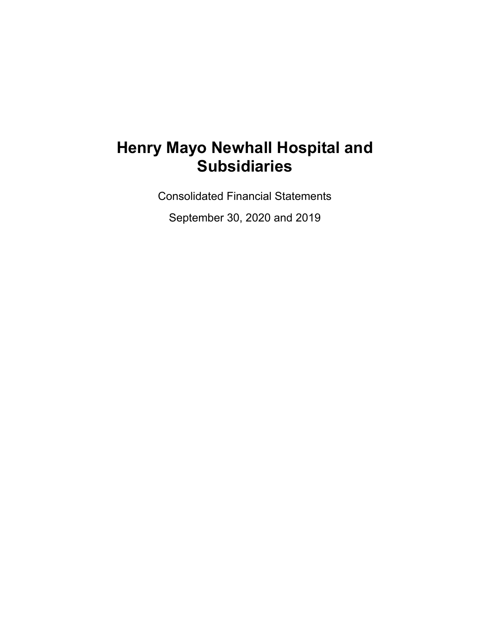Consolidated Financial Statements

September 30, 2020 and 2019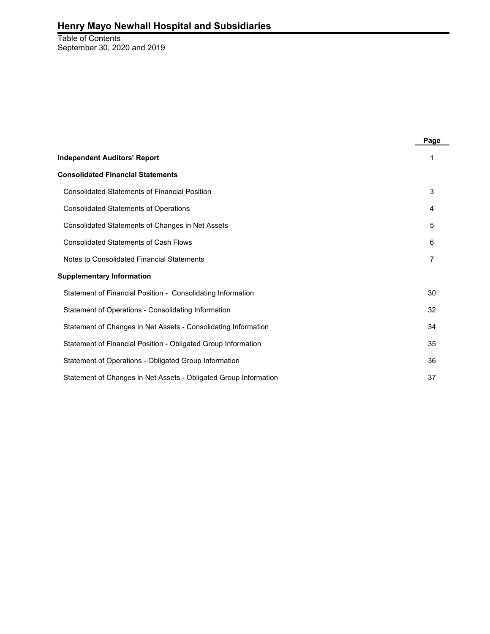#### Table of Contents September 30, 2020 and 2019

|                                                                  | Page |
|------------------------------------------------------------------|------|
| <b>Independent Auditors' Report</b>                              |      |
| <b>Consolidated Financial Statements</b>                         |      |
| <b>Consolidated Statements of Financial Position</b>             | 3    |
| <b>Consolidated Statements of Operations</b>                     | 4    |
| Consolidated Statements of Changes in Net Assets                 | 5    |
| <b>Consolidated Statements of Cash Flows</b>                     | 6    |
| Notes to Consolidated Financial Statements                       | 7    |
| <b>Supplementary Information</b>                                 |      |
| Statement of Financial Position - Consolidating Information      | 30   |
| Statement of Operations - Consolidating Information              | 32   |
| Statement of Changes in Net Assets - Consolidating Information   | 34   |
| Statement of Financial Position - Obligated Group Information    | 35   |
| Statement of Operations - Obligated Group Information            | 36   |
| Statement of Changes in Net Assets - Obligated Group Information | 37   |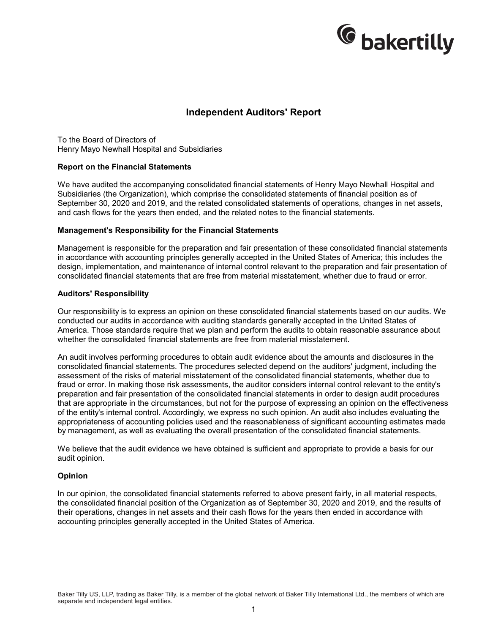

# **Independent Auditors' Report**

To the Board of Directors of Henry Mayo Newhall Hospital and Subsidiaries

#### **Report on the Financial Statements**

We have audited the accompanying consolidated financial statements of Henry Mayo Newhall Hospital and Subsidiaries (the Organization), which comprise the consolidated statements of financial position as of September 30, 2020 and 2019, and the related consolidated statements of operations, changes in net assets, and cash flows for the years then ended, and the related notes to the financial statements.

#### **Management's Responsibility for the Financial Statements**

Management is responsible for the preparation and fair presentation of these consolidated financial statements in accordance with accounting principles generally accepted in the United States of America; this includes the design, implementation, and maintenance of internal control relevant to the preparation and fair presentation of consolidated financial statements that are free from material misstatement, whether due to fraud or error.

#### **Auditors' Responsibility**

Our responsibility is to express an opinion on these consolidated financial statements based on our audits. We conducted our audits in accordance with auditing standards generally accepted in the United States of America. Those standards require that we plan and perform the audits to obtain reasonable assurance about whether the consolidated financial statements are free from material misstatement.

An audit involves performing procedures to obtain audit evidence about the amounts and disclosures in the consolidated financial statements. The procedures selected depend on the auditors' judgment, including the assessment of the risks of material misstatement of the consolidated financial statements, whether due to fraud or error. In making those risk assessments, the auditor considers internal control relevant to the entity's preparation and fair presentation of the consolidated financial statements in order to design audit procedures that are appropriate in the circumstances, but not for the purpose of expressing an opinion on the effectiveness of the entity's internal control. Accordingly, we express no such opinion. An audit also includes evaluating the appropriateness of accounting policies used and the reasonableness of significant accounting estimates made by management, as well as evaluating the overall presentation of the consolidated financial statements.

We believe that the audit evidence we have obtained is sufficient and appropriate to provide a basis for our audit opinion.

#### **Opinion**

In our opinion, the consolidated financial statements referred to above present fairly, in all material respects, the consolidated financial position of the Organization as of September 30, 2020 and 2019, and the results of their operations, changes in net assets and their cash flows for the years then ended in accordance with accounting principles generally accepted in the United States of America.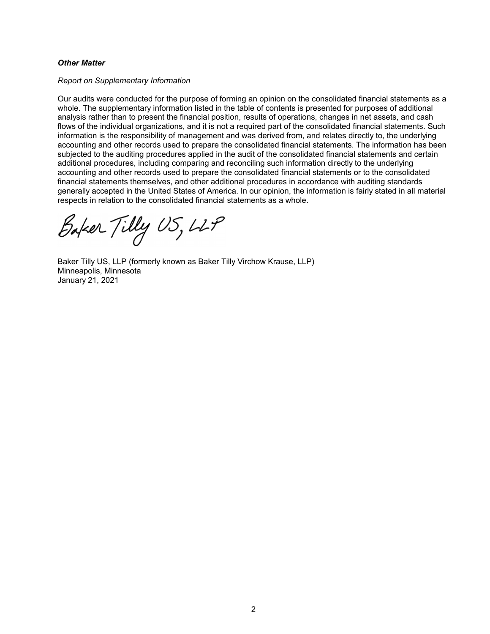#### *Other Matter*

#### *Report on Supplementary Information*

Our audits were conducted for the purpose of forming an opinion on the consolidated financial statements as a whole. The supplementary information listed in the table of contents is presented for purposes of additional analysis rather than to present the financial position, results of operations, changes in net assets, and cash flows of the individual organizations, and it is not a required part of the consolidated financial statements. Such information is the responsibility of management and was derived from, and relates directly to, the underlying accounting and other records used to prepare the consolidated financial statements. The information has been subjected to the auditing procedures applied in the audit of the consolidated financial statements and certain additional procedures, including comparing and reconciling such information directly to the underlying accounting and other records used to prepare the consolidated financial statements or to the consolidated financial statements themselves, and other additional procedures in accordance with auditing standards generally accepted in the United States of America. In our opinion, the information is fairly stated in all material respects in relation to the consolidated financial statements as a whole.

Baker Tilly US, LLP

Baker Tilly US, LLP (formerly known as Baker Tilly Virchow Krause, LLP) Minneapolis, Minnesota January 21, 2021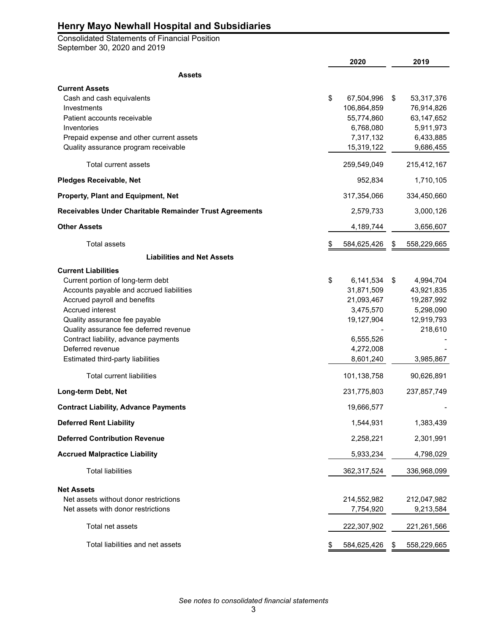Consolidated Statements of Financial Position September 30, 2020 and 2019

|                                                                                                                                                                                                                                                                                                                                                                          | 2020                                                                                                                         | 2019                                                                                                         |
|--------------------------------------------------------------------------------------------------------------------------------------------------------------------------------------------------------------------------------------------------------------------------------------------------------------------------------------------------------------------------|------------------------------------------------------------------------------------------------------------------------------|--------------------------------------------------------------------------------------------------------------|
| <b>Assets</b>                                                                                                                                                                                                                                                                                                                                                            |                                                                                                                              |                                                                                                              |
| <b>Current Assets</b><br>Cash and cash equivalents<br>Investments<br>Patient accounts receivable<br>Inventories<br>Prepaid expense and other current assets<br>Quality assurance program receivable                                                                                                                                                                      | \$<br>67,504,996<br>106,864,859<br>55,774,860<br>6,768,080<br>7,317,132<br>15,319,122                                        | \$<br>53,317,376<br>76,914,826<br>63,147,652<br>5,911,973<br>6,433,885<br>9,686,455                          |
| Total current assets                                                                                                                                                                                                                                                                                                                                                     | 259,549,049                                                                                                                  | 215,412,167                                                                                                  |
| <b>Pledges Receivable, Net</b>                                                                                                                                                                                                                                                                                                                                           | 952,834                                                                                                                      | 1,710,105                                                                                                    |
| Property, Plant and Equipment, Net                                                                                                                                                                                                                                                                                                                                       | 317,354,066                                                                                                                  | 334,450,660                                                                                                  |
| Receivables Under Charitable Remainder Trust Agreements                                                                                                                                                                                                                                                                                                                  | 2,579,733                                                                                                                    | 3,000,126                                                                                                    |
| <b>Other Assets</b>                                                                                                                                                                                                                                                                                                                                                      | 4,189,744                                                                                                                    | 3,656,607                                                                                                    |
| <b>Total assets</b>                                                                                                                                                                                                                                                                                                                                                      | \$<br>584,625,426                                                                                                            | \$<br>558,229,665                                                                                            |
| <b>Liabilities and Net Assets</b>                                                                                                                                                                                                                                                                                                                                        |                                                                                                                              |                                                                                                              |
| <b>Current Liabilities</b><br>Current portion of long-term debt<br>Accounts payable and accrued liabilities<br>Accrued payroll and benefits<br>Accrued interest<br>Quality assurance fee payable<br>Quality assurance fee deferred revenue<br>Contract liability, advance payments<br>Deferred revenue<br>Estimated third-party liabilities<br>Total current liabilities | \$<br>6,141,534<br>31,871,509<br>21,093,467<br>3,475,570<br>19,127,904<br>6,555,526<br>4,272,008<br>8,601,240<br>101,138,758 | \$<br>4,994,704<br>43,921,835<br>19,287,992<br>5,298,090<br>12,919,793<br>218,610<br>3,985,867<br>90,626,891 |
| Long-term Debt, Net                                                                                                                                                                                                                                                                                                                                                      | 231,775,803                                                                                                                  | 237,857,749                                                                                                  |
| <b>Contract Liability, Advance Payments</b>                                                                                                                                                                                                                                                                                                                              | 19,666,577                                                                                                                   |                                                                                                              |
| <b>Deferred Rent Liability</b>                                                                                                                                                                                                                                                                                                                                           | 1,544,931                                                                                                                    | 1,383,439                                                                                                    |
| <b>Deferred Contribution Revenue</b>                                                                                                                                                                                                                                                                                                                                     | 2,258,221                                                                                                                    | 2,301,991                                                                                                    |
| <b>Accrued Malpractice Liability</b>                                                                                                                                                                                                                                                                                                                                     | 5,933,234                                                                                                                    | 4,798,029                                                                                                    |
| <b>Total liabilities</b>                                                                                                                                                                                                                                                                                                                                                 | 362,317,524                                                                                                                  | 336,968,099                                                                                                  |
| <b>Net Assets</b><br>Net assets without donor restrictions<br>Net assets with donor restrictions                                                                                                                                                                                                                                                                         | 214,552,982<br>7,754,920                                                                                                     | 212,047,982<br>9,213,584                                                                                     |
| Total net assets                                                                                                                                                                                                                                                                                                                                                         | 222,307,902                                                                                                                  | 221,261,566                                                                                                  |
| Total liabilities and net assets                                                                                                                                                                                                                                                                                                                                         | 584,625,426                                                                                                                  | 558,229,665                                                                                                  |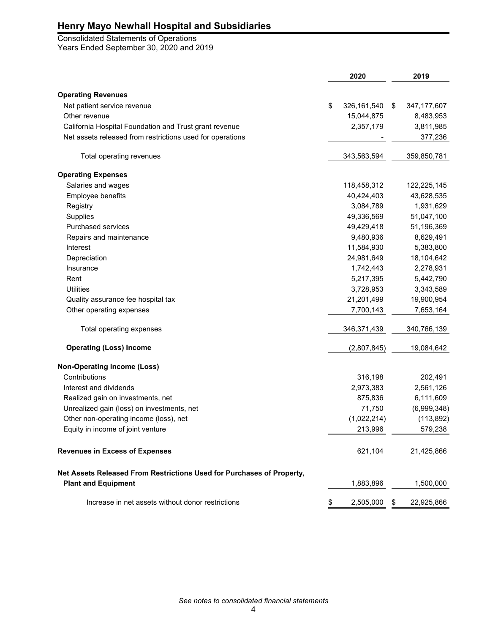Consolidated Statements of Operations Years Ended September 30, 2020 and 2019

|                                                                       | 2020                | 2019                |
|-----------------------------------------------------------------------|---------------------|---------------------|
|                                                                       |                     |                     |
| <b>Operating Revenues</b>                                             |                     |                     |
| Net patient service revenue                                           | \$<br>326, 161, 540 | \$<br>347, 177, 607 |
| Other revenue                                                         | 15,044,875          | 8,483,953           |
| California Hospital Foundation and Trust grant revenue                | 2,357,179           | 3,811,985           |
| Net assets released from restrictions used for operations             |                     | 377,236             |
| Total operating revenues                                              | 343,563,594         | 359,850,781         |
| <b>Operating Expenses</b>                                             |                     |                     |
| Salaries and wages                                                    | 118,458,312         | 122,225,145         |
| Employee benefits                                                     | 40,424,403          | 43,628,535          |
| Registry                                                              | 3,084,789           | 1,931,629           |
| Supplies                                                              | 49,336,569          | 51,047,100          |
| Purchased services                                                    | 49,429,418          | 51,196,369          |
| Repairs and maintenance                                               | 9,480,936           | 8,629,491           |
| Interest                                                              | 11,584,930          | 5,383,800           |
| Depreciation                                                          | 24,981,649          | 18,104,642          |
| Insurance                                                             | 1,742,443           | 2,278,931           |
| Rent                                                                  | 5,217,395           | 5,442,790           |
| <b>Utilities</b>                                                      | 3,728,953           | 3,343,589           |
| Quality assurance fee hospital tax                                    | 21,201,499          | 19,900,954          |
| Other operating expenses                                              | 7,700,143           | 7,653,164           |
| Total operating expenses                                              | 346,371,439         | 340,766,139         |
| <b>Operating (Loss) Income</b>                                        | (2,807,845)         | 19,084,642          |
| <b>Non-Operating Income (Loss)</b>                                    |                     |                     |
| Contributions                                                         | 316,198             | 202,491             |
| Interest and dividends                                                | 2,973,383           | 2,561,126           |
| Realized gain on investments, net                                     | 875,836             | 6,111,609           |
| Unrealized gain (loss) on investments, net                            | 71,750              | (6,999,348)         |
| Other non-operating income (loss), net                                | (1,022,214)         | (113, 892)          |
| Equity in income of joint venture                                     | 213,996             | 579,238             |
| <b>Revenues in Excess of Expenses</b>                                 | 621,104             | 21,425,866          |
| Net Assets Released From Restrictions Used for Purchases of Property, |                     |                     |
| <b>Plant and Equipment</b>                                            | 1,883,896           | 1,500,000           |
| Increase in net assets without donor restrictions                     | \$<br>2,505,000     | \$<br>22,925,866    |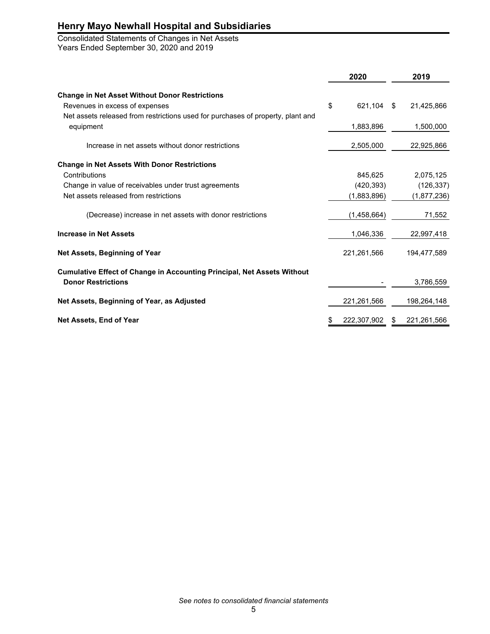Consolidated Statements of Changes in Net Assets Years Ended September 30, 2020 and 2019

|                                                                                              | 2020              |   | 2019        |
|----------------------------------------------------------------------------------------------|-------------------|---|-------------|
| <b>Change in Net Asset Without Donor Restrictions</b>                                        |                   |   |             |
| Revenues in excess of expenses                                                               | \$<br>621,104 \$  |   | 21,425,866  |
| Net assets released from restrictions used for purchases of property, plant and<br>equipment | 1,883,896         |   | 1,500,000   |
| Increase in net assets without donor restrictions                                            | 2,505,000         |   | 22,925,866  |
| <b>Change in Net Assets With Donor Restrictions</b>                                          |                   |   |             |
| Contributions                                                                                | 845,625           |   | 2,075,125   |
| Change in value of receivables under trust agreements                                        | (420, 393)        |   | (126, 337)  |
| Net assets released from restrictions                                                        | (1,883,896)       |   | (1,877,236) |
| (Decrease) increase in net assets with donor restrictions                                    | (1,458,664)       |   | 71,552      |
| <b>Increase in Net Assets</b>                                                                | 1,046,336         |   | 22,997,418  |
| Net Assets, Beginning of Year                                                                | 221,261,566       |   | 194,477,589 |
| <b>Cumulative Effect of Change in Accounting Principal, Net Assets Without</b>               |                   |   |             |
| <b>Donor Restrictions</b>                                                                    |                   |   | 3,786,559   |
| Net Assets, Beginning of Year, as Adjusted                                                   | 221,261,566       |   | 198,264,148 |
| Net Assets, End of Year                                                                      | \$<br>222,307,902 | S | 221,261,566 |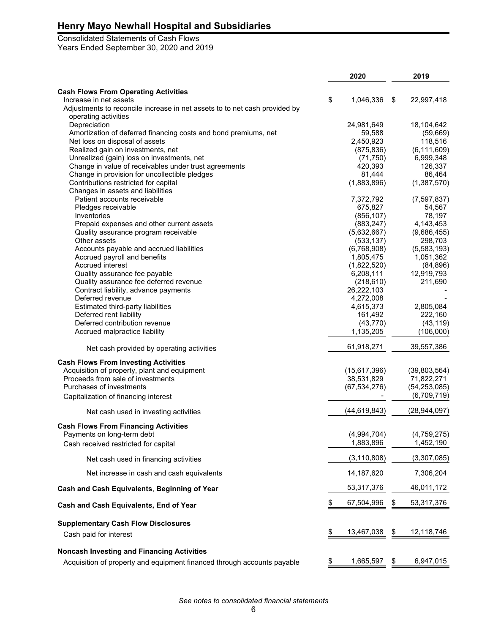# Consolidated Statements of Cash Flows

Years Ended September 30, 2020 and 2019

|                                                                            | 2020             | 2019             |
|----------------------------------------------------------------------------|------------------|------------------|
|                                                                            |                  |                  |
| <b>Cash Flows From Operating Activities</b><br>Increase in net assets      | \$<br>1,046,336  | \$<br>22,997,418 |
| Adjustments to reconcile increase in net assets to to net cash provided by |                  |                  |
| operating activities                                                       |                  |                  |
| Depreciation                                                               | 24,981,649       | 18,104,642       |
| Amortization of deferred financing costs and bond premiums, net            | 59,588           | (59, 669)        |
| Net loss on disposal of assets                                             | 2,450,923        | 118,516          |
| Realized gain on investments, net                                          | (875, 836)       | (6, 111, 609)    |
| Unrealized (gain) loss on investments, net                                 | (71, 750)        | 6,999,348        |
| Change in value of receivables under trust agreements                      | 420,393          | 126,337          |
| Change in provision for uncollectible pledges                              | 81,444           | 86,464           |
| Contributions restricted for capital                                       | (1,883,896)      | (1, 387, 570)    |
| Changes in assets and liabilities                                          |                  |                  |
| Patient accounts receivable                                                | 7,372,792        | (7, 597, 837)    |
| Pledges receivable                                                         | 675,827          | 54,567           |
| Inventories                                                                | (856, 107)       | 78,197           |
| Prepaid expenses and other current assets                                  | (883, 247)       | 4,143,453        |
| Quality assurance program receivable                                       | (5,632,667)      | (9,686,455)      |
| Other assets                                                               | (533, 137)       | 298,703          |
| Accounts payable and accrued liabilities                                   | (6,768,908)      | (5,583,193)      |
| Accrued payroll and benefits                                               | 1,805,475        | 1,051,362        |
| Accrued interest                                                           | (1,822,520)      | (84, 896)        |
| Quality assurance fee payable                                              | 6,208,111        | 12,919,793       |
| Quality assurance fee deferred revenue                                     | (218, 610)       | 211,690          |
| Contract liability, advance payments                                       | 26,222,103       |                  |
| Deferred revenue                                                           | 4,272,008        |                  |
| Estimated third-party liabilities                                          | 4,615,373        | 2,805,084        |
| Deferred rent liability                                                    | 161,492          | 222,160          |
| Deferred contribution revenue                                              | (43, 770)        | (43, 119)        |
| Accrued malpractice liability                                              | 1,135,205        | (106,000)        |
| Net cash provided by operating activities                                  | 61,918,271       | 39,557,386       |
| <b>Cash Flows From Investing Activities</b>                                |                  |                  |
| Acquisition of property, plant and equipment                               | (15,617,396)     | (39,803,564)     |
| Proceeds from sale of investments                                          | 38,531,829       | 71,822,271       |
| Purchases of investments                                                   | (67, 534, 276)   | (54, 253, 085)   |
| Capitalization of financing interest                                       |                  | (6,709,719)      |
|                                                                            | (44, 619, 843)   | (28, 944, 097)   |
| Net cash used in investing activities                                      |                  |                  |
| <b>Cash Flows From Financing Activities</b>                                |                  |                  |
| Payments on long-term debt                                                 | (4,994,704)      | (4,759,275)      |
| Cash received restricted for capital                                       | 1,883,896        | 1,452,190        |
| Net cash used in financing activities                                      | (3, 110, 808)    | (3,307,085)      |
| Net increase in cash and cash equivalents                                  | 14, 187, 620     | 7,306,204        |
| Cash and Cash Equivalents, Beginning of Year                               | 53,317,376       | 46,011,172       |
| Cash and Cash Equivalents, End of Year                                     | \$<br>67,504,996 | \$<br>53,317,376 |
|                                                                            |                  |                  |
| <b>Supplementary Cash Flow Disclosures</b>                                 |                  | 12,118,746       |
| Cash paid for interest                                                     | \$<br>13,467,038 | \$               |
| <b>Noncash Investing and Financing Activities</b>                          |                  |                  |
| Acquisition of property and equipment financed through accounts payable    | \$<br>1,665,597  | \$<br>6,947,015  |
|                                                                            |                  |                  |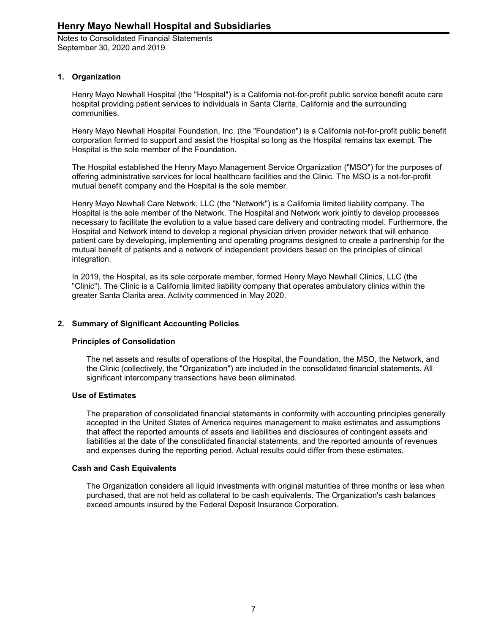## **1. Organization**

Henry Mayo Newhall Hospital (the "Hospital") is a California not-for-profit public service benefit acute care hospital providing patient services to individuals in Santa Clarita, California and the surrounding communities.

Henry Mayo Newhall Hospital Foundation, Inc. (the "Foundation") is a California not-for-profit public benefit corporation formed to support and assist the Hospital so long as the Hospital remains tax exempt. The Hospital is the sole member of the Foundation.

The Hospital established the Henry Mayo Management Service Organization ("MSO") for the purposes of offering administrative services for local healthcare facilities and the Clinic. The MSO is a not-for-profit mutual benefit company and the Hospital is the sole member.

Henry Mayo Newhall Care Network, LLC (the "Network") is a California limited liability company. The Hospital is the sole member of the Network. The Hospital and Network work jointly to develop processes necessary to facilitate the evolution to a value based care delivery and contracting model. Furthermore, the Hospital and Network intend to develop a regional physician driven provider network that will enhance patient care by developing, implementing and operating programs designed to create a partnership for the mutual benefit of patients and a network of independent providers based on the principles of clinical integration.

In 2019, the Hospital, as its sole corporate member, formed Henry Mayo Newhall Clinics, LLC (the "Clinic"). The Clinic is a California limited liability company that operates ambulatory clinics within the greater Santa Clarita area. Activity commenced in May 2020.

## **2. Summary of Significant Accounting Policies**

### **Principles of Consolidation**

The net assets and results of operations of the Hospital, the Foundation, the MSO, the Network, and the Clinic (collectively, the "Organization") are included in the consolidated financial statements. All significant intercompany transactions have been eliminated.

## **Use of Estimates**

The preparation of consolidated financial statements in conformity with accounting principles generally accepted in the United States of America requires management to make estimates and assumptions that affect the reported amounts of assets and liabilities and disclosures of contingent assets and liabilities at the date of the consolidated financial statements, and the reported amounts of revenues and expenses during the reporting period. Actual results could differ from these estimates.

### **Cash and Cash Equivalents**

The Organization considers all liquid investments with original maturities of three months or less when purchased, that are not held as collateral to be cash equivalents. The Organization's cash balances exceed amounts insured by the Federal Deposit Insurance Corporation.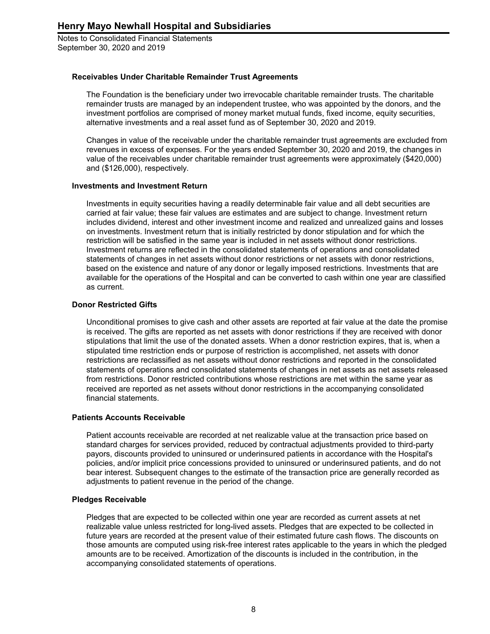#### **Receivables Under Charitable Remainder Trust Agreements**

The Foundation is the beneficiary under two irrevocable charitable remainder trusts. The charitable remainder trusts are managed by an independent trustee, who was appointed by the donors, and the investment portfolios are comprised of money market mutual funds, fixed income, equity securities, alternative investments and a real asset fund as of September 30, 2020 and 2019.

Changes in value of the receivable under the charitable remainder trust agreements are excluded from revenues in excess of expenses. For the years ended September 30, 2020 and 2019, the changes in value of the receivables under charitable remainder trust agreements were approximately (\$420,000) and (\$126,000), respectively.

#### **Investments and Investment Return**

Investments in equity securities having a readily determinable fair value and all debt securities are carried at fair value; these fair values are estimates and are subject to change. Investment return includes dividend, interest and other investment income and realized and unrealized gains and losses on investments. Investment return that is initially restricted by donor stipulation and for which the restriction will be satisfied in the same year is included in net assets without donor restrictions. Investment returns are reflected in the consolidated statements of operations and consolidated statements of changes in net assets without donor restrictions or net assets with donor restrictions, based on the existence and nature of any donor or legally imposed restrictions. Investments that are available for the operations of the Hospital and can be converted to cash within one year are classified as current.

#### **Donor Restricted Gifts**

Unconditional promises to give cash and other assets are reported at fair value at the date the promise is received. The gifts are reported as net assets with donor restrictions if they are received with donor stipulations that limit the use of the donated assets. When a donor restriction expires, that is, when a stipulated time restriction ends or purpose of restriction is accomplished, net assets with donor restrictions are reclassified as net assets without donor restrictions and reported in the consolidated statements of operations and consolidated statements of changes in net assets as net assets released from restrictions. Donor restricted contributions whose restrictions are met within the same year as received are reported as net assets without donor restrictions in the accompanying consolidated financial statements.

#### **Patients Accounts Receivable**

Patient accounts receivable are recorded at net realizable value at the transaction price based on standard charges for services provided, reduced by contractual adjustments provided to third-party payors, discounts provided to uninsured or underinsured patients in accordance with the Hospital's policies, and/or implicit price concessions provided to uninsured or underinsured patients, and do not bear interest. Subsequent changes to the estimate of the transaction price are generally recorded as adjustments to patient revenue in the period of the change.

#### **Pledges Receivable**

Pledges that are expected to be collected within one year are recorded as current assets at net realizable value unless restricted for long-lived assets. Pledges that are expected to be collected in future years are recorded at the present value of their estimated future cash flows. The discounts on those amounts are computed using risk-free interest rates applicable to the years in which the pledged amounts are to be received. Amortization of the discounts is included in the contribution, in the accompanying consolidated statements of operations.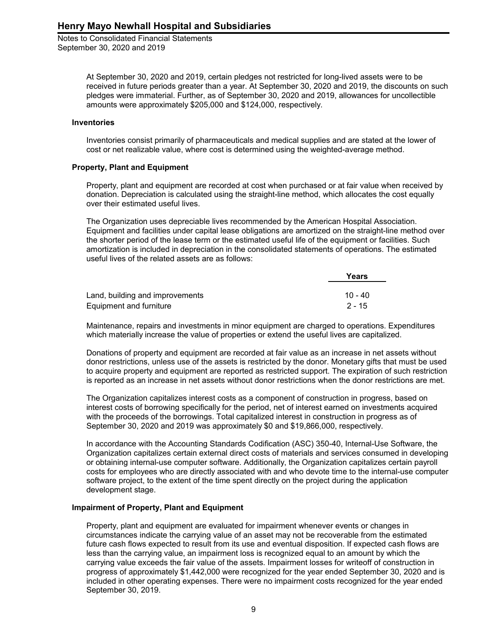> At September 30, 2020 and 2019, certain pledges not restricted for long-lived assets were to be received in future periods greater than a year. At September 30, 2020 and 2019, the discounts on such pledges were immaterial. Further, as of September 30, 2020 and 2019, allowances for uncollectible amounts were approximately \$205,000 and \$124,000, respectively.

#### **Inventories**

Inventories consist primarily of pharmaceuticals and medical supplies and are stated at the lower of cost or net realizable value, where cost is determined using the weighted-average method.

#### **Property, Plant and Equipment**

Property, plant and equipment are recorded at cost when purchased or at fair value when received by donation. Depreciation is calculated using the straight-line method, which allocates the cost equally over their estimated useful lives.

The Organization uses depreciable lives recommended by the American Hospital Association. Equipment and facilities under capital lease obligations are amortized on the straight-line method over the shorter period of the lease term or the estimated useful life of the equipment or facilities. Such amortization is included in depreciation in the consolidated statements of operations. The estimated useful lives of the related assets are as follows:

|                                 | Years    |
|---------------------------------|----------|
| Land, building and improvements | 10 - 40  |
| Equipment and furniture         | $2 - 15$ |

Maintenance, repairs and investments in minor equipment are charged to operations. Expenditures which materially increase the value of properties or extend the useful lives are capitalized.

Donations of property and equipment are recorded at fair value as an increase in net assets without donor restrictions, unless use of the assets is restricted by the donor. Monetary gifts that must be used to acquire property and equipment are reported as restricted support. The expiration of such restriction is reported as an increase in net assets without donor restrictions when the donor restrictions are met.

The Organization capitalizes interest costs as a component of construction in progress, based on interest costs of borrowing specifically for the period, net of interest earned on investments acquired with the proceeds of the borrowings. Total capitalized interest in construction in progress as of September 30, 2020 and 2019 was approximately \$0 and \$19,866,000, respectively.

In accordance with the Accounting Standards Codification (ASC) 350-40, Internal-Use Software, the Organization capitalizes certain external direct costs of materials and services consumed in developing or obtaining internal-use computer software. Additionally, the Organization capitalizes certain payroll costs for employees who are directly associated with and who devote time to the internal-use computer software project, to the extent of the time spent directly on the project during the application development stage.

#### **Impairment of Property, Plant and Equipment**

Property, plant and equipment are evaluated for impairment whenever events or changes in circumstances indicate the carrying value of an asset may not be recoverable from the estimated future cash flows expected to result from its use and eventual disposition. If expected cash flows are less than the carrying value, an impairment loss is recognized equal to an amount by which the carrying value exceeds the fair value of the assets. Impairment losses for writeoff of construction in progress of approximately \$1,442,000 were recognized for the year ended September 30, 2020 and is included in other operating expenses. There were no impairment costs recognized for the year ended September 30, 2019.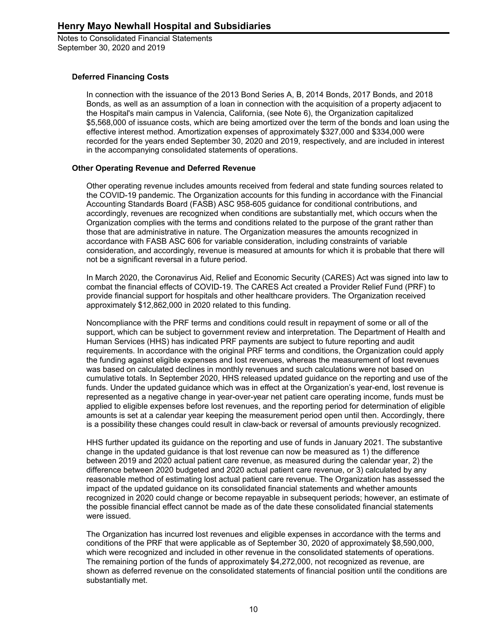## **Deferred Financing Costs**

In connection with the issuance of the 2013 Bond Series A, B, 2014 Bonds, 2017 Bonds, and 2018 Bonds, as well as an assumption of a loan in connection with the acquisition of a property adjacent to the Hospital's main campus in Valencia, California, (see Note 6), the Organization capitalized \$5,568,000 of issuance costs, which are being amortized over the term of the bonds and loan using the effective interest method. Amortization expenses of approximately \$327,000 and \$334,000 were recorded for the years ended September 30, 2020 and 2019, respectively, and are included in interest in the accompanying consolidated statements of operations.

### **Other Operating Revenue and Deferred Revenue**

Other operating revenue includes amounts received from federal and state funding sources related to the COVID-19 pandemic. The Organization accounts for this funding in accordance with the Financial Accounting Standards Board (FASB) ASC 958-605 guidance for conditional contributions, and accordingly, revenues are recognized when conditions are substantially met, which occurs when the Organization complies with the terms and conditions related to the purpose of the grant rather than those that are administrative in nature. The Organization measures the amounts recognized in accordance with FASB ASC 606 for variable consideration, including constraints of variable consideration, and accordingly, revenue is measured at amounts for which it is probable that there will not be a significant reversal in a future period.

In March 2020, the Coronavirus Aid, Relief and Economic Security (CARES) Act was signed into law to combat the financial effects of COVID-19. The CARES Act created a Provider Relief Fund (PRF) to provide financial support for hospitals and other healthcare providers. The Organization received approximately \$12,862,000 in 2020 related to this funding.

Noncompliance with the PRF terms and conditions could result in repayment of some or all of the support, which can be subject to government review and interpretation. The Department of Health and Human Services (HHS) has indicated PRF payments are subject to future reporting and audit requirements. In accordance with the original PRF terms and conditions, the Organization could apply the funding against eligible expenses and lost revenues, whereas the measurement of lost revenues was based on calculated declines in monthly revenues and such calculations were not based on cumulative totals. In September 2020, HHS released updated guidance on the reporting and use of the funds. Under the updated guidance which was in effect at the Organization's year-end, lost revenue is represented as a negative change in year-over-year net patient care operating income, funds must be applied to eligible expenses before lost revenues, and the reporting period for determination of eligible amounts is set at a calendar year keeping the measurement period open until then. Accordingly, there is a possibility these changes could result in claw-back or reversal of amounts previously recognized.

HHS further updated its guidance on the reporting and use of funds in January 2021. The substantive change in the updated guidance is that lost revenue can now be measured as 1) the difference between 2019 and 2020 actual patient care revenue, as measured during the calendar year, 2) the difference between 2020 budgeted and 2020 actual patient care revenue, or 3) calculated by any reasonable method of estimating lost actual patient care revenue. The Organization has assessed the impact of the updated guidance on its consolidated financial statements and whether amounts recognized in 2020 could change or become repayable in subsequent periods; however, an estimate of the possible financial effect cannot be made as of the date these consolidated financial statements were issued.

The Organization has incurred lost revenues and eligible expenses in accordance with the terms and conditions of the PRF that were applicable as of September 30, 2020 of approximately \$8,590,000, which were recognized and included in other revenue in the consolidated statements of operations. The remaining portion of the funds of approximately \$4,272,000, not recognized as revenue, are shown as deferred revenue on the consolidated statements of financial position until the conditions are substantially met.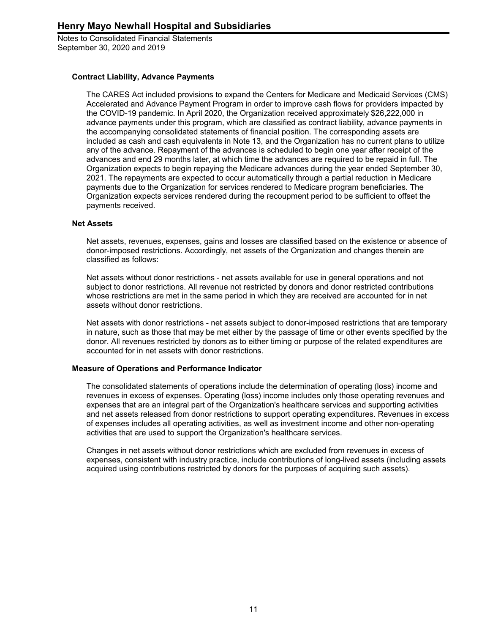Notes to Consolidated Financial Statements September 30, 2020 and 2019

#### **Contract Liability, Advance Payments**

The CARES Act included provisions to expand the Centers for Medicare and Medicaid Services (CMS) Accelerated and Advance Payment Program in order to improve cash flows for providers impacted by the COVID-19 pandemic. In April 2020, the Organization received approximately \$26,222,000 in advance payments under this program, which are classified as contract liability, advance payments in the accompanying consolidated statements of financial position. The corresponding assets are included as cash and cash equivalents in Note 13, and the Organization has no current plans to utilize any of the advance. Repayment of the advances is scheduled to begin one year after receipt of the advances and end 29 months later, at which time the advances are required to be repaid in full. The Organization expects to begin repaying the Medicare advances during the year ended September 30, 2021. The repayments are expected to occur automatically through a partial reduction in Medicare payments due to the Organization for services rendered to Medicare program beneficiaries. The Organization expects services rendered during the recoupment period to be sufficient to offset the payments received.

#### **Net Assets**

Net assets, revenues, expenses, gains and losses are classified based on the existence or absence of donor-imposed restrictions. Accordingly, net assets of the Organization and changes therein are classified as follows:

Net assets without donor restrictions - net assets available for use in general operations and not subject to donor restrictions. All revenue not restricted by donors and donor restricted contributions whose restrictions are met in the same period in which they are received are accounted for in net assets without donor restrictions.

Net assets with donor restrictions - net assets subject to donor-imposed restrictions that are temporary in nature, such as those that may be met either by the passage of time or other events specified by the donor. All revenues restricted by donors as to either timing or purpose of the related expenditures are accounted for in net assets with donor restrictions.

#### **Measure of Operations and Performance Indicator**

The consolidated statements of operations include the determination of operating (loss) income and revenues in excess of expenses. Operating (loss) income includes only those operating revenues and expenses that are an integral part of the Organization's healthcare services and supporting activities and net assets released from donor restrictions to support operating expenditures. Revenues in excess of expenses includes all operating activities, as well as investment income and other non-operating activities that are used to support the Organization's healthcare services.

Changes in net assets without donor restrictions which are excluded from revenues in excess of expenses, consistent with industry practice, include contributions of long-lived assets (including assets acquired using contributions restricted by donors for the purposes of acquiring such assets).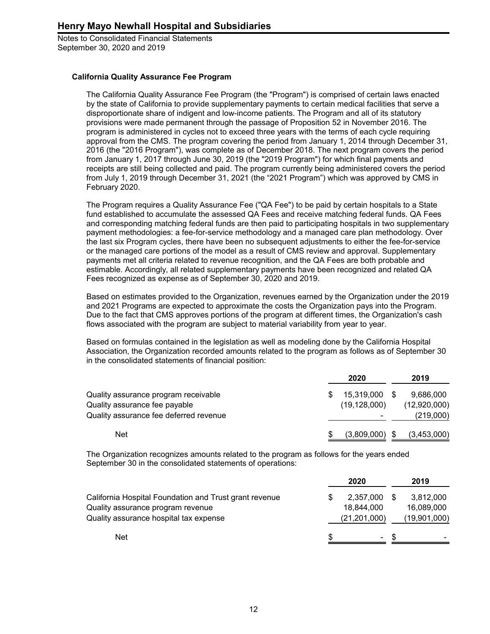Notes to Consolidated Financial Statements September 30, 2020 and 2019

#### **California Quality Assurance Fee Program**

The California Quality Assurance Fee Program (the "Program") is comprised of certain laws enacted by the state of California to provide supplementary payments to certain medical facilities that serve a disproportionate share of indigent and low-income patients. The Program and all of its statutory provisions were made permanent through the passage of Proposition 52 in November 2016. The program is administered in cycles not to exceed three years with the terms of each cycle requiring approval from the CMS. The program covering the period from January 1, 2014 through December 31, 2016 (the "2016 Program"), was complete as of December 2018. The next program covers the period from January 1, 2017 through June 30, 2019 (the "2019 Program") for which final payments and receipts are still being collected and paid. The program currently being administered covers the period from July 1, 2019 through December 31, 2021 (the "2021 Program") which was approved by CMS in February 2020.

The Program requires a Quality Assurance Fee ("QA Fee") to be paid by certain hospitals to a State fund established to accumulate the assessed QA Fees and receive matching federal funds. QA Fees and corresponding matching federal funds are then paid to participating hospitals in two supplementary payment methodologies: a fee-for-service methodology and a managed care plan methodology. Over the last six Program cycles, there have been no subsequent adjustments to either the fee-for-service or the managed care portions of the model as a result of CMS review and approval. Supplementary payments met all criteria related to revenue recognition, and the QA Fees are both probable and estimable. Accordingly, all related supplementary payments have been recognized and related QA Fees recognized as expense as of September 30, 2020 and 2019.

Based on estimates provided to the Organization, revenues earned by the Organization under the 2019 and 2021 Programs are expected to approximate the costs the Organization pays into the Program. Due to the fact that CMS approves portions of the program at different times, the Organization's cash flows associated with the program are subject to material variability from year to year.

Based on formulas contained in the legislation as well as modeling done by the California Hospital Association, the Organization recorded amounts related to the program as follows as of September 30 in the consolidated statements of financial position:

|                                        | 2020                     | 2019         |
|----------------------------------------|--------------------------|--------------|
| Quality assurance program receivable   | 15.319.000               | 9.686.000    |
| Quality assurance fee payable          | (19, 128, 000)           | (12,920,000) |
| Quality assurance fee deferred revenue | $\overline{\phantom{0}}$ | (219,000)    |
| <b>Net</b>                             | (3,809,000)              | (3,453,000)  |

The Organization recognizes amounts related to the program as follows for the years ended September 30 in the consolidated statements of operations:

|                                                        |    | 2020            | 2019         |
|--------------------------------------------------------|----|-----------------|--------------|
| California Hospital Foundation and Trust grant revenue | S  | 2,357,000       | 3,812,000    |
| Quality assurance program revenue                      |    | 18,844,000      | 16.089.000   |
| Quality assurance hospital tax expense                 |    | (21, 201, 000)  | (19,901,000) |
| <b>Net</b>                                             | S. | $\sim$ 10 $\pm$ |              |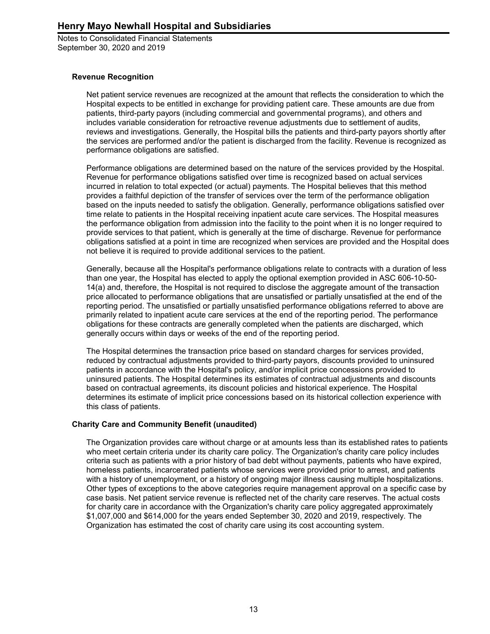Notes to Consolidated Financial Statements September 30, 2020 and 2019

#### **Revenue Recognition**

Net patient service revenues are recognized at the amount that reflects the consideration to which the Hospital expects to be entitled in exchange for providing patient care. These amounts are due from patients, third-party payors (including commercial and governmental programs), and others and includes variable consideration for retroactive revenue adjustments due to settlement of audits, reviews and investigations. Generally, the Hospital bills the patients and third-party payors shortly after the services are performed and/or the patient is discharged from the facility. Revenue is recognized as performance obligations are satisfied.

Performance obligations are determined based on the nature of the services provided by the Hospital. Revenue for performance obligations satisfied over time is recognized based on actual services incurred in relation to total expected (or actual) payments. The Hospital believes that this method provides a faithful depiction of the transfer of services over the term of the performance obligation based on the inputs needed to satisfy the obligation. Generally, performance obligations satisfied over time relate to patients in the Hospital receiving inpatient acute care services. The Hospital measures the performance obligation from admission into the facility to the point when it is no longer required to provide services to that patient, which is generally at the time of discharge. Revenue for performance obligations satisfied at a point in time are recognized when services are provided and the Hospital does not believe it is required to provide additional services to the patient.

Generally, because all the Hospital's performance obligations relate to contracts with a duration of less than one year, the Hospital has elected to apply the optional exemption provided in ASC 606-10-50- 14(a) and, therefore, the Hospital is not required to disclose the aggregate amount of the transaction price allocated to performance obligations that are unsatisfied or partially unsatisfied at the end of the reporting period. The unsatisfied or partially unsatisfied performance obligations referred to above are primarily related to inpatient acute care services at the end of the reporting period. The performance obligations for these contracts are generally completed when the patients are discharged, which generally occurs within days or weeks of the end of the reporting period.

The Hospital determines the transaction price based on standard charges for services provided, reduced by contractual adjustments provided to third-party payors, discounts provided to uninsured patients in accordance with the Hospital's policy, and/or implicit price concessions provided to uninsured patients. The Hospital determines its estimates of contractual adjustments and discounts based on contractual agreements, its discount policies and historical experience. The Hospital determines its estimate of implicit price concessions based on its historical collection experience with this class of patients.

#### **Charity Care and Community Benefit (unaudited)**

The Organization provides care without charge or at amounts less than its established rates to patients who meet certain criteria under its charity care policy. The Organization's charity care policy includes criteria such as patients with a prior history of bad debt without payments, patients who have expired, homeless patients, incarcerated patients whose services were provided prior to arrest, and patients with a history of unemployment, or a history of ongoing major illness causing multiple hospitalizations. Other types of exceptions to the above categories require management approval on a specific case by case basis. Net patient service revenue is reflected net of the charity care reserves. The actual costs for charity care in accordance with the Organization's charity care policy aggregated approximately \$1,007,000 and \$614,000 for the years ended September 30, 2020 and 2019, respectively. The Organization has estimated the cost of charity care using its cost accounting system.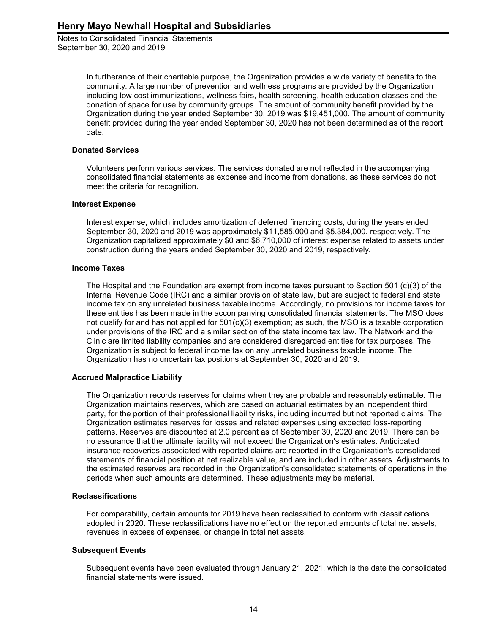> In furtherance of their charitable purpose, the Organization provides a wide variety of benefits to the community. A large number of prevention and wellness programs are provided by the Organization including low cost immunizations, wellness fairs, health screening, health education classes and the donation of space for use by community groups. The amount of community benefit provided by the Organization during the year ended September 30, 2019 was \$19,451,000. The amount of community benefit provided during the year ended September 30, 2020 has not been determined as of the report date.

#### **Donated Services**

Volunteers perform various services. The services donated are not reflected in the accompanying consolidated financial statements as expense and income from donations, as these services do not meet the criteria for recognition.

#### **Interest Expense**

Interest expense, which includes amortization of deferred financing costs, during the years ended September 30, 2020 and 2019 was approximately \$11,585,000 and \$5,384,000, respectively. The Organization capitalized approximately \$0 and \$6,710,000 of interest expense related to assets under construction during the years ended September 30, 2020 and 2019, respectively.

#### **Income Taxes**

The Hospital and the Foundation are exempt from income taxes pursuant to Section 501 (c)(3) of the Internal Revenue Code (IRC) and a similar provision of state law, but are subject to federal and state income tax on any unrelated business taxable income. Accordingly, no provisions for income taxes for these entities has been made in the accompanying consolidated financial statements. The MSO does not qualify for and has not applied for 501(c)(3) exemption; as such, the MSO is a taxable corporation under provisions of the IRC and a similar section of the state income tax law. The Network and the Clinic are limited liability companies and are considered disregarded entities for tax purposes. The Organization is subject to federal income tax on any unrelated business taxable income. The Organization has no uncertain tax positions at September 30, 2020 and 2019.

#### **Accrued Malpractice Liability**

The Organization records reserves for claims when they are probable and reasonably estimable. The Organization maintains reserves, which are based on actuarial estimates by an independent third party, for the portion of their professional liability risks, including incurred but not reported claims. The Organization estimates reserves for losses and related expenses using expected loss-reporting patterns. Reserves are discounted at 2.0 percent as of September 30, 2020 and 2019. There can be no assurance that the ultimate liability will not exceed the Organization's estimates. Anticipated insurance recoveries associated with reported claims are reported in the Organization's consolidated statements of financial position at net realizable value, and are included in other assets. Adjustments to the estimated reserves are recorded in the Organization's consolidated statements of operations in the periods when such amounts are determined. These adjustments may be material.

#### **Reclassifications**

For comparability, certain amounts for 2019 have been reclassified to conform with classifications adopted in 2020. These reclassifications have no effect on the reported amounts of total net assets, revenues in excess of expenses, or change in total net assets.

### **Subsequent Events**

Subsequent events have been evaluated through January 21, 2021, which is the date the consolidated financial statements were issued.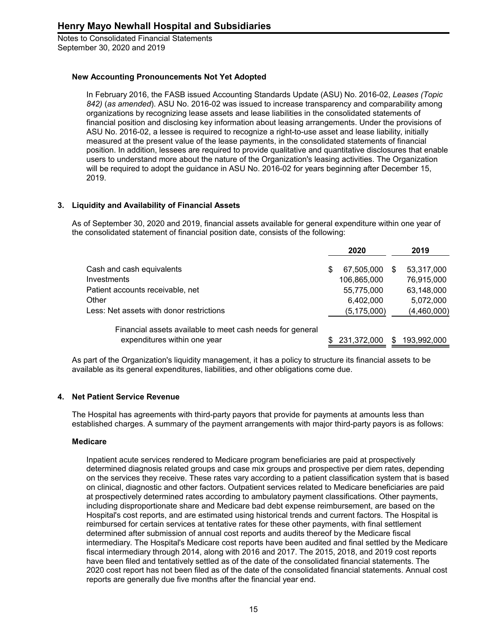## **New Accounting Pronouncements Not Yet Adopted**

In February 2016, the FASB issued Accounting Standards Update (ASU) No. 2016-02, *Leases (Topic 842)* (*as amended*). ASU No. 2016-02 was issued to increase transparency and comparability among organizations by recognizing lease assets and lease liabilities in the consolidated statements of financial position and disclosing key information about leasing arrangements. Under the provisions of ASU No. 2016-02, a lessee is required to recognize a right-to-use asset and lease liability, initially measured at the present value of the lease payments, in the consolidated statements of financial position. In addition, lessees are required to provide qualitative and quantitative disclosures that enable users to understand more about the nature of the Organization's leasing activities. The Organization will be required to adopt the guidance in ASU No. 2016-02 for years beginning after December 15, 2019.

### **3. Liquidity and Availability of Financial Assets**

As of September 30, 2020 and 2019, financial assets available for general expenditure within one year of the consolidated statement of financial position date, consists of the following:

|                                          |   | 2020          |     | 2019        |
|------------------------------------------|---|---------------|-----|-------------|
| Cash and cash equivalents                | S | 67,505,000    | \$. | 53,317,000  |
| Investments                              |   | 106,865,000   |     | 76,915,000  |
| Patient accounts receivable, net         |   | 55,775,000    |     | 63,148,000  |
| Other                                    |   | 6,402,000     |     | 5,072,000   |
| Less: Net assets with donor restrictions |   | (5, 175, 000) |     | (4,460,000) |
|                                          |   |               |     |             |

Financial assets available to meet cash needs for general expenditures within one year \$ 231,372,000 \$ 193,992,000

As part of the Organization's liquidity management, it has a policy to structure its financial assets to be available as its general expenditures, liabilities, and other obligations come due.

### **4. Net Patient Service Revenue**

The Hospital has agreements with third-party payors that provide for payments at amounts less than established charges. A summary of the payment arrangements with major third-party payors is as follows:

### **Medicare**

Inpatient acute services rendered to Medicare program beneficiaries are paid at prospectively determined diagnosis related groups and case mix groups and prospective per diem rates, depending on the services they receive. These rates vary according to a patient classification system that is based on clinical, diagnostic and other factors. Outpatient services related to Medicare beneficiaries are paid at prospectively determined rates according to ambulatory payment classifications. Other payments, including disproportionate share and Medicare bad debt expense reimbursement, are based on the Hospital's cost reports, and are estimated using historical trends and current factors. The Hospital is reimbursed for certain services at tentative rates for these other payments, with final settlement determined after submission of annual cost reports and audits thereof by the Medicare fiscal intermediary. The Hospital's Medicare cost reports have been audited and final settled by the Medicare fiscal intermediary through 2014, along with 2016 and 2017. The 2015, 2018, and 2019 cost reports have been filed and tentatively settled as of the date of the consolidated financial statements. The 2020 cost report has not been filed as of the date of the consolidated financial statements. Annual cost reports are generally due five months after the financial year end.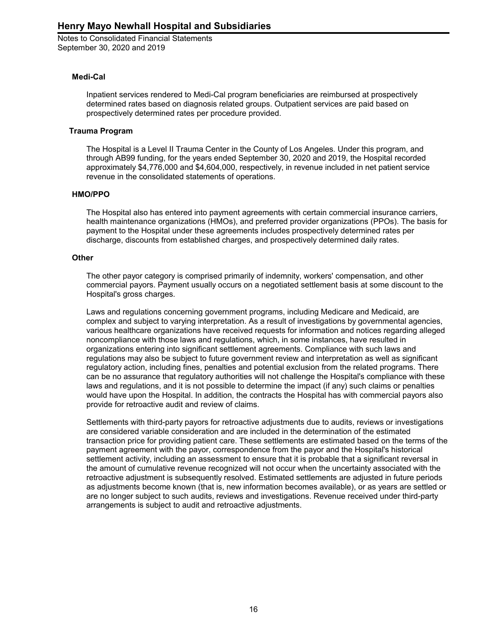### **Medi-Cal**

Inpatient services rendered to Medi-Cal program beneficiaries are reimbursed at prospectively determined rates based on diagnosis related groups. Outpatient services are paid based on prospectively determined rates per procedure provided.

#### **Trauma Program**

The Hospital is a Level II Trauma Center in the County of Los Angeles. Under this program, and through AB99 funding, for the years ended September 30, 2020 and 2019, the Hospital recorded approximately \$4,776,000 and \$4,604,000, respectively, in revenue included in net patient service revenue in the consolidated statements of operations.

#### **HMO/PPO**

The Hospital also has entered into payment agreements with certain commercial insurance carriers, health maintenance organizations (HMOs), and preferred provider organizations (PPOs). The basis for payment to the Hospital under these agreements includes prospectively determined rates per discharge, discounts from established charges, and prospectively determined daily rates.

#### **Other**

The other payor category is comprised primarily of indemnity, workers' compensation, and other commercial payors. Payment usually occurs on a negotiated settlement basis at some discount to the Hospital's gross charges.

Laws and regulations concerning government programs, including Medicare and Medicaid, are complex and subject to varying interpretation. As a result of investigations by governmental agencies, various healthcare organizations have received requests for information and notices regarding alleged noncompliance with those laws and regulations, which, in some instances, have resulted in organizations entering into significant settlement agreements. Compliance with such laws and regulations may also be subject to future government review and interpretation as well as significant regulatory action, including fines, penalties and potential exclusion from the related programs. There can be no assurance that regulatory authorities will not challenge the Hospital's compliance with these laws and regulations, and it is not possible to determine the impact (if any) such claims or penalties would have upon the Hospital. In addition, the contracts the Hospital has with commercial payors also provide for retroactive audit and review of claims.

Settlements with third-party payors for retroactive adjustments due to audits, reviews or investigations are considered variable consideration and are included in the determination of the estimated transaction price for providing patient care. These settlements are estimated based on the terms of the payment agreement with the payor, correspondence from the payor and the Hospital's historical settlement activity, including an assessment to ensure that it is probable that a significant reversal in the amount of cumulative revenue recognized will not occur when the uncertainty associated with the retroactive adjustment is subsequently resolved. Estimated settlements are adjusted in future periods as adjustments become known (that is, new information becomes available), or as years are settled or are no longer subject to such audits, reviews and investigations. Revenue received under third-party arrangements is subject to audit and retroactive adjustments.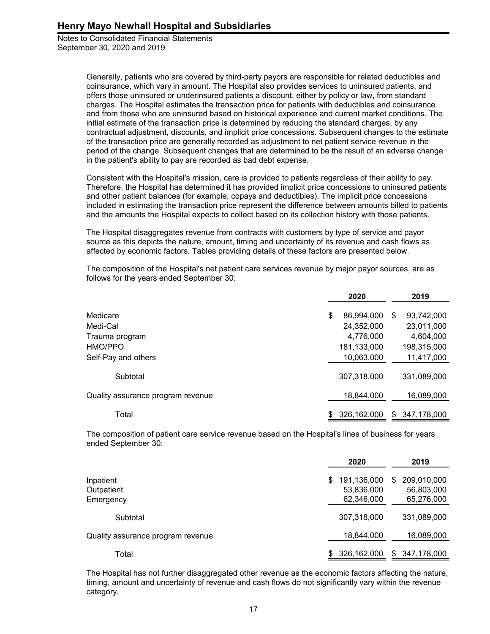> Generally, patients who are covered by third-party payors are responsible for related deductibles and coinsurance, which vary in amount. The Hospital also provides services to uninsured patients, and offers those uninsured or underinsured patients a discount, either by policy or law, from standard charges. The Hospital estimates the transaction price for patients with deductibles and coinsurance and from those who are uninsured based on historical experience and current market conditions. The initial estimate of the transaction price is determined by reducing the standard charges, by any contractual adjustment, discounts, and implicit price concessions. Subsequent changes to the estimate of the transaction price are generally recorded as adjustment to net patient service revenue in the period of the change. Subsequent changes that are determined to be the result of an adverse change in the patient's ability to pay are recorded as bad debt expense.

> Consistent with the Hospital's mission, care is provided to patients regardless of their ability to pay. Therefore, the Hospital has determined it has provided implicit price concessions to uninsured patients and other patient balances (for example, copays and deductibles). The implicit price concessions included in estimating the transaction price represent the difference between amounts billed to patients and the amounts the Hospital expects to collect based on its collection history with those patients.

The Hospital disaggregates revenue from contracts with customers by type of service and payor source as this depicts the nature, amount, timing and uncertainty of its revenue and cash flows as affected by economic factors. Tables providing details of these factors are presented below.

The composition of the Hospital's net patient care services revenue by major payor sources, are as follows for the years ended September 30:

|                                   | 2020             | 2019              |
|-----------------------------------|------------------|-------------------|
| Medicare                          | \$<br>86,994,000 | \$<br>93,742,000  |
| Medi-Cal                          | 24,352,000       | 23,011,000        |
| Trauma program                    | 4,776,000        | 4,604,000         |
| HMO/PPO                           | 181,133,000      | 198,315,000       |
| Self-Pay and others               | 10,063,000       | 11,417,000        |
| Subtotal                          | 307,318,000      | 331,089,000       |
| Quality assurance program revenue | 18,844,000       | 16,089,000        |
| Total                             | 326,162,000      | \$<br>347,178,000 |

The composition of patient care service revenue based on the Hospital's lines of business for years ended September 30:

|                                   | 2020                     | 2019                     |
|-----------------------------------|--------------------------|--------------------------|
| Inpatient                         | 191,136,000<br>\$        | 209,010,000<br>\$        |
| Outpatient<br>Emergency           | 53,836,000<br>62,346,000 | 56,803,000<br>65,276,000 |
| Subtotal                          | 307,318,000              | 331,089,000              |
| Quality assurance program revenue | 18,844,000               | 16,089,000               |
| Total                             | 326,162,000              | \$347,178,000            |

The Hospital has not further disaggregated other revenue as the economic factors affecting the nature, timing, amount and uncertainty of revenue and cash flows do not significantly vary within the revenue category.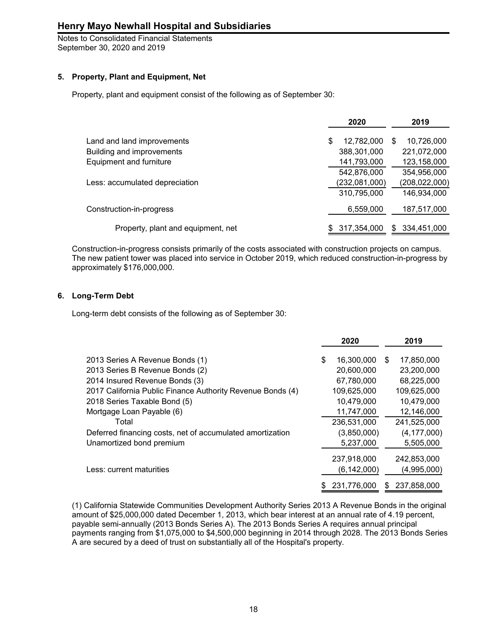Notes to Consolidated Financial Statements September 30, 2020 and 2019

## **5. Property, Plant and Equipment, Net**

Property, plant and equipment consist of the following as of September 30:

|                                    | 2020             | 2019              |
|------------------------------------|------------------|-------------------|
| Land and land improvements         | \$<br>12,782,000 | 10,726,000<br>\$. |
| Building and improvements          | 388,301,000      | 221,072,000       |
| Equipment and furniture            | 141,793,000      | 123,158,000       |
|                                    | 542,876,000      | 354,956,000       |
| Less: accumulated depreciation     | (232,081,000)    | (208, 022, 000)   |
|                                    | 310,795,000      | 146,934,000       |
| Construction-in-progress           | 6,559,000        | 187,517,000       |
| Property, plant and equipment, net | 317,354,000      | 334,451,000<br>S  |
|                                    |                  |                   |

Construction-in-progress consists primarily of the costs associated with construction projects on campus. The new patient tower was placed into service in October 2019, which reduced construction-in-progress by approximately \$176,000,000.

## **6. Long-Term Debt**

Long-term debt consists of the following as of September 30:

|                                                            | 2020             |    | 2019          |
|------------------------------------------------------------|------------------|----|---------------|
| 2013 Series A Revenue Bonds (1)                            | \$<br>16,300,000 | S  | 17,850,000    |
| 2013 Series B Revenue Bonds (2)                            | 20,600,000       |    | 23,200,000    |
| 2014 Insured Revenue Bonds (3)                             | 67,780,000       |    | 68,225,000    |
| 2017 California Public Finance Authority Revenue Bonds (4) | 109,625,000      |    | 109,625,000   |
| 2018 Series Taxable Bond (5)                               | 10,479,000       |    | 10,479,000    |
| Mortgage Loan Payable (6)                                  | 11,747,000       |    | 12,146,000    |
| Total                                                      | 236,531,000      |    | 241,525,000   |
| Deferred financing costs, net of accumulated amortization  | (3,850,000)      |    | (4, 177, 000) |
| Unamortized bond premium                                   | 5,237,000        |    | 5,505,000     |
|                                                            | 237,918,000      |    | 242,853,000   |
| Less: current maturities                                   | (6, 142, 000)    |    | (4,995,000)   |
|                                                            | 231,776,000      | \$ | 237,858,000   |

(1) California Statewide Communities Development Authority Series 2013 A Revenue Bonds in the original amount of \$25,000,000 dated December 1, 2013, which bear interest at an annual rate of 4.19 percent, payable semi-annually (2013 Bonds Series A). The 2013 Bonds Series A requires annual principal payments ranging from \$1,075,000 to \$4,500,000 beginning in 2014 through 2028. The 2013 Bonds Series A are secured by a deed of trust on substantially all of the Hospital's property.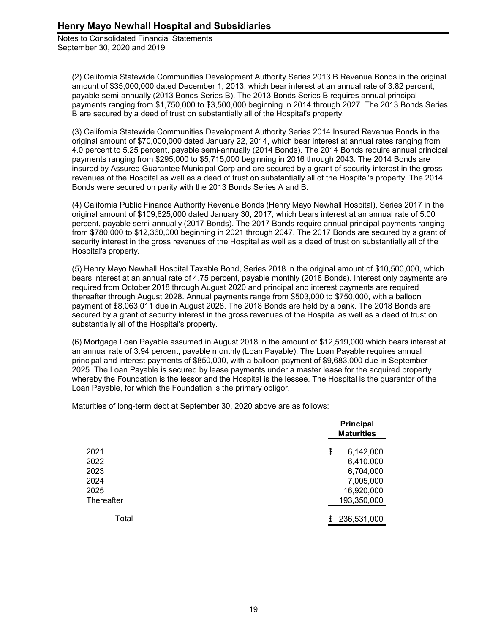Notes to Consolidated Financial Statements September 30, 2020 and 2019

(2) California Statewide Communities Development Authority Series 2013 B Revenue Bonds in the original amount of \$35,000,000 dated December 1, 2013, which bear interest at an annual rate of 3.82 percent, payable semi-annually (2013 Bonds Series B). The 2013 Bonds Series B requires annual principal payments ranging from \$1,750,000 to \$3,500,000 beginning in 2014 through 2027. The 2013 Bonds Series B are secured by a deed of trust on substantially all of the Hospital's property.

(3) California Statewide Communities Development Authority Series 2014 Insured Revenue Bonds in the original amount of \$70,000,000 dated January 22, 2014, which bear interest at annual rates ranging from 4.0 percent to 5.25 percent, payable semi-annually (2014 Bonds). The 2014 Bonds require annual principal payments ranging from \$295,000 to \$5,715,000 beginning in 2016 through 2043. The 2014 Bonds are insured by Assured Guarantee Municipal Corp and are secured by a grant of security interest in the gross revenues of the Hospital as well as a deed of trust on substantially all of the Hospital's property. The 2014 Bonds were secured on parity with the 2013 Bonds Series A and B.

(4) California Public Finance Authority Revenue Bonds (Henry Mayo Newhall Hospital), Series 2017 in the original amount of \$109,625,000 dated January 30, 2017, which bears interest at an annual rate of 5.00 percent, payable semi-annually (2017 Bonds). The 2017 Bonds require annual principal payments ranging from \$780,000 to \$12,360,000 beginning in 2021 through 2047. The 2017 Bonds are secured by a grant of security interest in the gross revenues of the Hospital as well as a deed of trust on substantially all of the Hospital's property.

(5) Henry Mayo Newhall Hospital Taxable Bond, Series 2018 in the original amount of \$10,500,000, which bears interest at an annual rate of 4.75 percent, payable monthly (2018 Bonds). Interest only payments are required from October 2018 through August 2020 and principal and interest payments are required thereafter through August 2028. Annual payments range from \$503,000 to \$750,000, with a balloon payment of \$8,063,011 due in August 2028. The 2018 Bonds are held by a bank. The 2018 Bonds are secured by a grant of security interest in the gross revenues of the Hospital as well as a deed of trust on substantially all of the Hospital's property.

(6) Mortgage Loan Payable assumed in August 2018 in the amount of \$12,519,000 which bears interest at an annual rate of 3.94 percent, payable monthly (Loan Payable). The Loan Payable requires annual principal and interest payments of \$850,000, with a balloon payment of \$9,683,000 due in September 2025. The Loan Payable is secured by lease payments under a master lease for the acquired property whereby the Foundation is the lessor and the Hospital is the lessee. The Hospital is the guarantor of the Loan Payable, for which the Foundation is the primary obligor.

Maturities of long-term debt at September 30, 2020 above are as follows:

| <b>Principal</b><br><b>Maturities</b> |
|---------------------------------------|
| 6,142,000                             |
| 6,410,000                             |
| 6,704,000                             |
| 7,005,000                             |
| 16,920,000                            |
| 193,350,000                           |
| \$<br>236,531,000                     |
| \$                                    |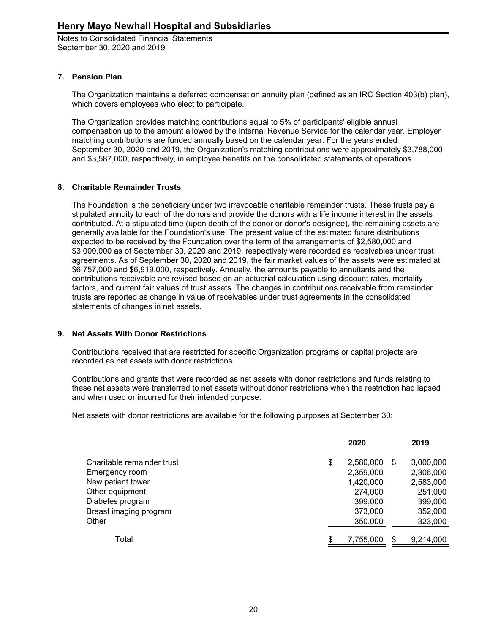## **7. Pension Plan**

The Organization maintains a deferred compensation annuity plan (defined as an IRC Section 403(b) plan), which covers employees who elect to participate.

The Organization provides matching contributions equal to 5% of participants' eligible annual compensation up to the amount allowed by the Internal Revenue Service for the calendar year. Employer matching contributions are funded annually based on the calendar year. For the years ended September 30, 2020 and 2019, the Organization's matching contributions were approximately \$3,788,000 and \$3,587,000, respectively, in employee benefits on the consolidated statements of operations.

## **8. Charitable Remainder Trusts**

The Foundation is the beneficiary under two irrevocable charitable remainder trusts. These trusts pay a stipulated annuity to each of the donors and provide the donors with a life income interest in the assets contributed. At a stipulated time (upon death of the donor or donor's designee), the remaining assets are generally available for the Foundation's use. The present value of the estimated future distributions expected to be received by the Foundation over the term of the arrangements of \$2,580,000 and \$3,000,000 as of September 30, 2020 and 2019, respectively were recorded as receivables under trust agreements. As of September 30, 2020 and 2019, the fair market values of the assets were estimated at \$6,757,000 and \$6,919,000, respectively. Annually, the amounts payable to annuitants and the contributions receivable are revised based on an actuarial calculation using discount rates, mortality factors, and current fair values of trust assets. The changes in contributions receivable from remainder trusts are reported as change in value of receivables under trust agreements in the consolidated statements of changes in net assets.

### **9. Net Assets With Donor Restrictions**

Contributions received that are restricted for specific Organization programs or capital projects are recorded as net assets with donor restrictions.

Contributions and grants that were recorded as net assets with donor restrictions and funds relating to these net assets were transferred to net assets without donor restrictions when the restriction had lapsed and when used or incurred for their intended purpose.

Net assets with donor restrictions are available for the following purposes at September 30:

|                            | 2020            |    | 2019      |
|----------------------------|-----------------|----|-----------|
| Charitable remainder trust | \$<br>2,580,000 | \$ | 3,000,000 |
| Emergency room             | 2,359,000       |    | 2,306,000 |
| New patient tower          | 1,420,000       |    | 2,583,000 |
| Other equipment            | 274,000         |    | 251,000   |
| Diabetes program           | 399,000         |    | 399,000   |
| Breast imaging program     | 373,000         |    | 352,000   |
| Other                      | 350,000         |    | 323,000   |
| Total                      | \$<br>7,755,000 | S  | 9,214,000 |
|                            |                 |    |           |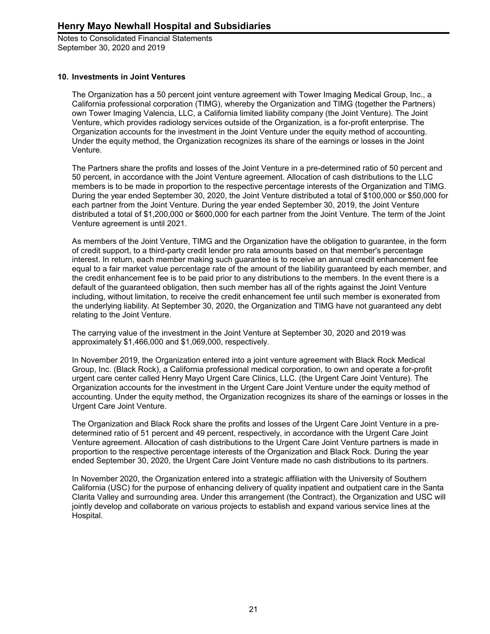## **10. Investments in Joint Ventures**

The Organization has a 50 percent joint venture agreement with Tower Imaging Medical Group, Inc., a California professional corporation (TIMG), whereby the Organization and TIMG (together the Partners) own Tower Imaging Valencia, LLC, a California limited liability company (the Joint Venture). The Joint Venture, which provides radiology services outside of the Organization, is a for-profit enterprise. The Organization accounts for the investment in the Joint Venture under the equity method of accounting. Under the equity method, the Organization recognizes its share of the earnings or losses in the Joint Venture.

The Partners share the profits and losses of the Joint Venture in a pre-determined ratio of 50 percent and 50 percent, in accordance with the Joint Venture agreement. Allocation of cash distributions to the LLC members is to be made in proportion to the respective percentage interests of the Organization and TIMG. During the year ended September 30, 2020, the Joint Venture distributed a total of \$100,000 or \$50,000 for each partner from the Joint Venture. During the year ended September 30, 2019, the Joint Venture distributed a total of \$1,200,000 or \$600,000 for each partner from the Joint Venture. The term of the Joint Venture agreement is until 2021.

As members of the Joint Venture, TIMG and the Organization have the obligation to guarantee, in the form of credit support, to a third-party credit lender pro rata amounts based on that member's percentage interest. In return, each member making such guarantee is to receive an annual credit enhancement fee equal to a fair market value percentage rate of the amount of the liability guaranteed by each member, and the credit enhancement fee is to be paid prior to any distributions to the members. In the event there is a default of the guaranteed obligation, then such member has all of the rights against the Joint Venture including, without limitation, to receive the credit enhancement fee until such member is exonerated from the underlying liability. At September 30, 2020, the Organization and TIMG have not guaranteed any debt relating to the Joint Venture.

The carrying value of the investment in the Joint Venture at September 30, 2020 and 2019 was approximately \$1,466,000 and \$1,069,000, respectively.

In November 2019, the Organization entered into a joint venture agreement with Black Rock Medical Group, Inc. (Black Rock), a California professional medical corporation, to own and operate a for-profit urgent care center called Henry Mayo Urgent Care Clinics, LLC. (the Urgent Care Joint Venture). The Organization accounts for the investment in the Urgent Care Joint Venture under the equity method of accounting. Under the equity method, the Organization recognizes its share of the earnings or losses in the Urgent Care Joint Venture.

The Organization and Black Rock share the profits and losses of the Urgent Care Joint Venture in a predetermined ratio of 51 percent and 49 percent, respectively, in accordance with the Urgent Care Joint Venture agreement. Allocation of cash distributions to the Urgent Care Joint Venture partners is made in proportion to the respective percentage interests of the Organization and Black Rock. During the year ended September 30, 2020, the Urgent Care Joint Venture made no cash distributions to its partners.

In November 2020, the Organization entered into a strategic affiliation with the University of Southern California (USC) for the purpose of enhancing delivery of quality inpatient and outpatient care in the Santa Clarita Valley and surrounding area. Under this arrangement (the Contract), the Organization and USC will jointly develop and collaborate on various projects to establish and expand various service lines at the Hospital.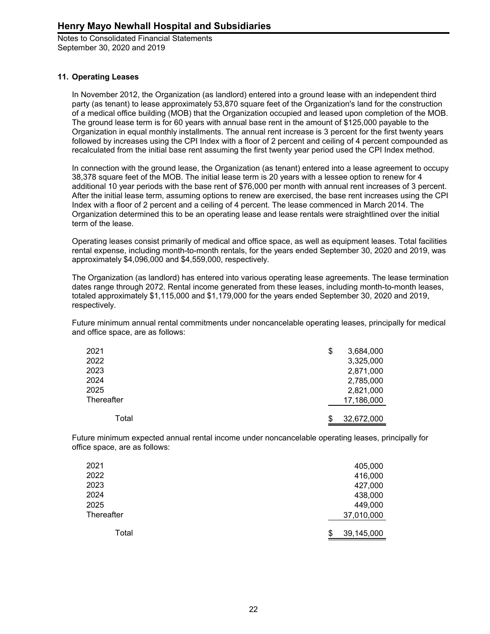## **11. Operating Leases**

In November 2012, the Organization (as landlord) entered into a ground lease with an independent third party (as tenant) to lease approximately 53,870 square feet of the Organization's land for the construction of a medical office building (MOB) that the Organization occupied and leased upon completion of the MOB. The ground lease term is for 60 years with annual base rent in the amount of \$125,000 payable to the Organization in equal monthly installments. The annual rent increase is 3 percent for the first twenty years followed by increases using the CPI Index with a floor of 2 percent and ceiling of 4 percent compounded as recalculated from the initial base rent assuming the first twenty year period used the CPI Index method.

In connection with the ground lease, the Organization (as tenant) entered into a lease agreement to occupy 38,378 square feet of the MOB. The initial lease term is 20 years with a lessee option to renew for 4 additional 10 year periods with the base rent of \$76,000 per month with annual rent increases of 3 percent. After the initial lease term, assuming options to renew are exercised, the base rent increases using the CPI Index with a floor of 2 percent and a ceiling of 4 percent. The lease commenced in March 2014. The Organization determined this to be an operating lease and lease rentals were straightlined over the initial term of the lease.

Operating leases consist primarily of medical and office space, as well as equipment leases. Total facilities rental expense, including month-to-month rentals, for the years ended September 30, 2020 and 2019, was approximately \$4,096,000 and \$4,559,000, respectively.

The Organization (as landlord) has entered into various operating lease agreements. The lease termination dates range through 2072. Rental income generated from these leases, including month-to-month leases, totaled approximately \$1,115,000 and \$1,179,000 for the years ended September 30, 2020 and 2019, respectively.

Future minimum annual rental commitments under noncancelable operating leases, principally for medical and office space, are as follows:

| 2021       | \$ | 3,684,000  |
|------------|----|------------|
| 2022       |    | 3,325,000  |
| 2023       |    | 2,871,000  |
| 2024       |    | 2,785,000  |
| 2025       |    | 2,821,000  |
| Thereafter |    | 17,186,000 |
|            |    |            |
| Total      | S  | 32,672,000 |

Future minimum expected annual rental income under noncancelable operating leases, principally for office space, are as follows:

| 2021       |   | 405,000    |
|------------|---|------------|
| 2022       |   | 416,000    |
| 2023       |   | 427,000    |
| 2024       |   | 438,000    |
| 2025       |   | 449,000    |
| Thereafter |   | 37,010,000 |
| Total      | S | 39,145,000 |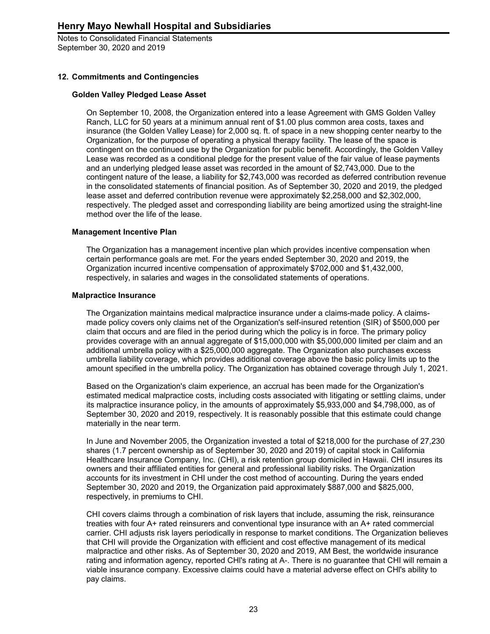## **12. Commitments and Contingencies**

### **Golden Valley Pledged Lease Asset**

On September 10, 2008, the Organization entered into a lease Agreement with GMS Golden Valley Ranch, LLC for 50 years at a minimum annual rent of \$1.00 plus common area costs, taxes and insurance (the Golden Valley Lease) for 2,000 sq. ft. of space in a new shopping center nearby to the Organization, for the purpose of operating a physical therapy facility. The lease of the space is contingent on the continued use by the Organization for public benefit. Accordingly, the Golden Valley Lease was recorded as a conditional pledge for the present value of the fair value of lease payments and an underlying pledged lease asset was recorded in the amount of \$2,743,000. Due to the contingent nature of the lease, a liability for \$2,743,000 was recorded as deferred contribution revenue in the consolidated statements of financial position. As of September 30, 2020 and 2019, the pledged lease asset and deferred contribution revenue were approximately \$2,258,000 and \$2,302,000, respectively. The pledged asset and corresponding liability are being amortized using the straight-line method over the life of the lease.

#### **Management Incentive Plan**

The Organization has a management incentive plan which provides incentive compensation when certain performance goals are met. For the years ended September 30, 2020 and 2019, the Organization incurred incentive compensation of approximately \$702,000 and \$1,432,000, respectively, in salaries and wages in the consolidated statements of operations.

#### **Malpractice Insurance**

The Organization maintains medical malpractice insurance under a claims-made policy. A claimsmade policy covers only claims net of the Organization's self-insured retention (SIR) of \$500,000 per claim that occurs and are filed in the period during which the policy is in force. The primary policy provides coverage with an annual aggregate of \$15,000,000 with \$5,000,000 limited per claim and an additional umbrella policy with a \$25,000,000 aggregate. The Organization also purchases excess umbrella liability coverage, which provides additional coverage above the basic policy limits up to the amount specified in the umbrella policy. The Organization has obtained coverage through July 1, 2021.

Based on the Organization's claim experience, an accrual has been made for the Organization's estimated medical malpractice costs, including costs associated with litigating or settling claims, under its malpractice insurance policy, in the amounts of approximately \$5,933,000 and \$4,798,000, as of September 30, 2020 and 2019, respectively. It is reasonably possible that this estimate could change materially in the near term.

In June and November 2005, the Organization invested a total of \$218,000 for the purchase of 27,230 shares (1.7 percent ownership as of September 30, 2020 and 2019) of capital stock in California Healthcare Insurance Company, Inc. (CHI), a risk retention group domiciled in Hawaii. CHI insures its owners and their affiliated entities for general and professional liability risks. The Organization accounts for its investment in CHI under the cost method of accounting. During the years ended September 30, 2020 and 2019, the Organization paid approximately \$887,000 and \$825,000, respectively, in premiums to CHI.

CHI covers claims through a combination of risk layers that include, assuming the risk, reinsurance treaties with four A+ rated reinsurers and conventional type insurance with an A+ rated commercial carrier. CHI adjusts risk layers periodically in response to market conditions. The Organization believes that CHI will provide the Organization with efficient and cost effective management of its medical malpractice and other risks. As of September 30, 2020 and 2019, AM Best, the worldwide insurance rating and information agency, reported CHl's rating at A-. There is no guarantee that CHI will remain a viable insurance company. Excessive claims could have a material adverse effect on CHl's ability to pay claims.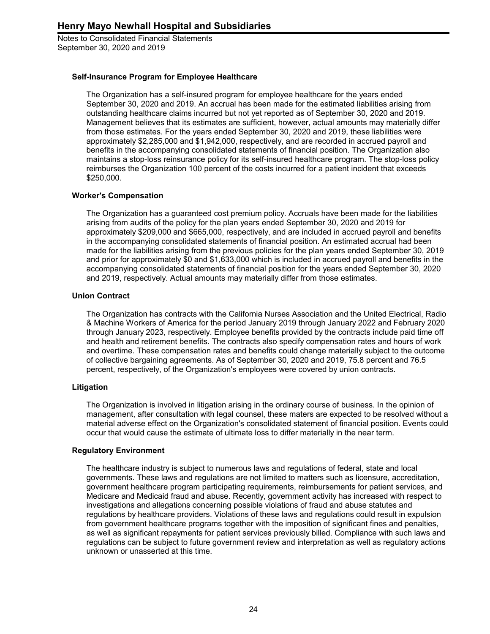### **Self-Insurance Program for Employee Healthcare**

The Organization has a self-insured program for employee healthcare for the years ended September 30, 2020 and 2019. An accrual has been made for the estimated liabilities arising from outstanding healthcare claims incurred but not yet reported as of September 30, 2020 and 2019. Management believes that its estimates are sufficient, however, actual amounts may materially differ from those estimates. For the years ended September 30, 2020 and 2019, these liabilities were approximately \$2,285,000 and \$1,942,000, respectively, and are recorded in accrued payroll and benefits in the accompanying consolidated statements of financial position. The Organization also maintains a stop-loss reinsurance policy for its self-insured healthcare program. The stop-loss policy reimburses the Organization 100 percent of the costs incurred for a patient incident that exceeds \$250,000.

#### **Worker's Compensation**

The Organization has a guaranteed cost premium policy. Accruals have been made for the liabilities arising from audits of the policy for the plan years ended September 30, 2020 and 2019 for approximately \$209,000 and \$665,000, respectively, and are included in accrued payroll and benefits in the accompanying consolidated statements of financial position. An estimated accrual had been made for the liabilities arising from the previous policies for the plan years ended September 30, 2019 and prior for approximately \$0 and \$1,633,000 which is included in accrued payroll and benefits in the accompanying consolidated statements of financial position for the years ended September 30, 2020 and 2019, respectively. Actual amounts may materially differ from those estimates.

#### **Union Contract**

The Organization has contracts with the California Nurses Association and the United Electrical, Radio & Machine Workers of America for the period January 2019 through January 2022 and February 2020 through January 2023, respectively. Employee benefits provided by the contracts include paid time off and health and retirement benefits. The contracts also specify compensation rates and hours of work and overtime. These compensation rates and benefits could change materially subject to the outcome of collective bargaining agreements. As of September 30, 2020 and 2019, 75.8 percent and 76.5 percent, respectively, of the Organization's employees were covered by union contracts.

#### **Litigation**

The Organization is involved in litigation arising in the ordinary course of business. In the opinion of management, after consultation with legal counsel, these maters are expected to be resolved without a material adverse effect on the Organization's consolidated statement of financial position. Events could occur that would cause the estimate of ultimate loss to differ materially in the near term.

#### **Regulatory Environment**

The healthcare industry is subject to numerous laws and regulations of federal, state and local governments. These laws and regulations are not limited to matters such as licensure, accreditation, government healthcare program participating requirements, reimbursements for patient services, and Medicare and Medicaid fraud and abuse. Recently, government activity has increased with respect to investigations and allegations concerning possible violations of fraud and abuse statutes and regulations by healthcare providers. Violations of these laws and regulations could result in expulsion from government healthcare programs together with the imposition of significant fines and penalties, as well as significant repayments for patient services previously billed. Compliance with such laws and regulations can be subject to future government review and interpretation as well as regulatory actions unknown or unasserted at this time.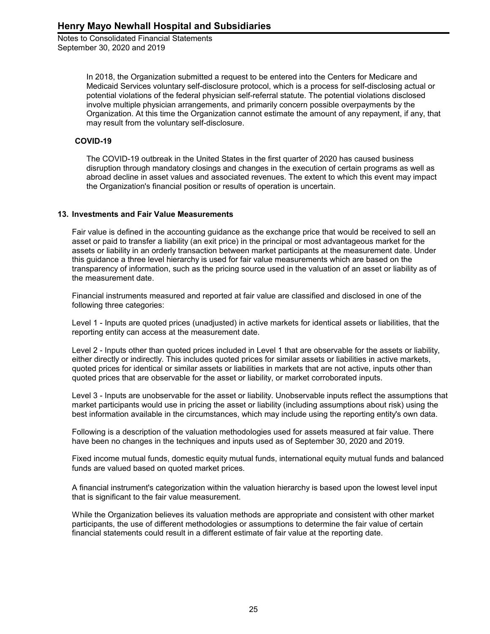> In 2018, the Organization submitted a request to be entered into the Centers for Medicare and Medicaid Services voluntary self-disclosure protocol, which is a process for self-disclosing actual or potential violations of the federal physician self-referral statute. The potential violations disclosed involve multiple physician arrangements, and primarily concern possible overpayments by the Organization. At this time the Organization cannot estimate the amount of any repayment, if any, that may result from the voluntary self-disclosure.

## **COVID-19**

The COVID-19 outbreak in the United States in the first quarter of 2020 has caused business disruption through mandatory closings and changes in the execution of certain programs as well as abroad decline in asset values and associated revenues. The extent to which this event may impact the Organization's financial position or results of operation is uncertain.

### **13. Investments and Fair Value Measurements**

Fair value is defined in the accounting guidance as the exchange price that would be received to sell an asset or paid to transfer a liability (an exit price) in the principal or most advantageous market for the assets or liability in an orderly transaction between market participants at the measurement date. Under this guidance a three level hierarchy is used for fair value measurements which are based on the transparency of information, such as the pricing source used in the valuation of an asset or liability as of the measurement date.

Financial instruments measured and reported at fair value are classified and disclosed in one of the following three categories:

Level 1 - Inputs are quoted prices (unadjusted) in active markets for identical assets or liabilities, that the reporting entity can access at the measurement date.

Level 2 - Inputs other than quoted prices included in Level 1 that are observable for the assets or liability, either directly or indirectly. This includes quoted prices for similar assets or liabilities in active markets, quoted prices for identical or similar assets or liabilities in markets that are not active, inputs other than quoted prices that are observable for the asset or liability, or market corroborated inputs.

Level 3 - Inputs are unobservable for the asset or liability. Unobservable inputs reflect the assumptions that market participants would use in pricing the asset or liability (including assumptions about risk) using the best information available in the circumstances, which may include using the reporting entity's own data.

Following is a description of the valuation methodologies used for assets measured at fair value. There have been no changes in the techniques and inputs used as of September 30, 2020 and 2019.

Fixed income mutual funds, domestic equity mutual funds, international equity mutual funds and balanced funds are valued based on quoted market prices.

A financial instrument's categorization within the valuation hierarchy is based upon the lowest level input that is significant to the fair value measurement.

While the Organization believes its valuation methods are appropriate and consistent with other market participants, the use of different methodologies or assumptions to determine the fair value of certain financial statements could result in a different estimate of fair value at the reporting date.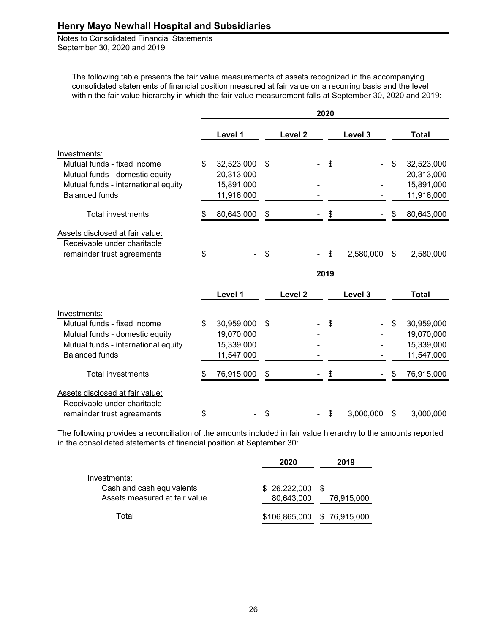Notes to Consolidated Financial Statements September 30, 2020 and 2019

The following table presents the fair value measurements of assets recognized in the accompanying consolidated statements of financial position measured at fair value on a recurring basis and the level within the fair value hierarchy in which the fair value measurement falls at September 30, 2020 and 2019:

|                                     |    |            |                    | 2020 |           |                  |
|-------------------------------------|----|------------|--------------------|------|-----------|------------------|
|                                     |    | Level 1    | Level <sub>2</sub> |      | Level 3   | Total            |
| Investments:                        |    |            |                    |      |           |                  |
| Mutual funds - fixed income         | \$ | 32,523,000 | \$                 | \$   |           | \$<br>32,523,000 |
| Mutual funds - domestic equity      |    | 20,313,000 |                    |      |           | 20,313,000       |
| Mutual funds - international equity |    | 15,891,000 |                    |      |           | 15,891,000       |
| <b>Balanced funds</b>               |    | 11,916,000 |                    |      |           | 11,916,000       |
| <b>Total investments</b>            | S  | 80,643,000 | \$                 | \$   |           | \$<br>80,643,000 |
| Assets disclosed at fair value:     |    |            |                    |      |           |                  |
| Receivable under charitable         |    |            |                    |      |           |                  |
| remainder trust agreements          | \$ |            | \$                 | \$   | 2,580,000 | \$<br>2,580,000  |
|                                     |    |            |                    | 2019 |           |                  |
|                                     |    | Level 1    | Level <sub>2</sub> |      | Level 3   | <b>Total</b>     |
| Investments:                        |    |            |                    |      |           |                  |
| Mutual funds - fixed income         | \$ | 30,959,000 | \$                 | \$   |           | \$<br>30,959,000 |
| Mutual funds - domestic equity      |    | 19,070,000 |                    |      |           | 19,070,000       |
| Mutual funds - international equity |    | 15,339,000 |                    |      |           | 15,339,000       |
| <b>Balanced funds</b>               |    | 11,547,000 |                    |      |           | 11,547,000       |
| <b>Total investments</b>            | \$ | 76,915,000 | \$                 | \$   |           | 76,915,000       |
| Assets disclosed at fair value:     |    |            |                    |      |           |                  |
| Receivable under charitable         |    |            |                    |      |           |                  |
| remainder trust agreements          | \$ |            | \$                 | \$   | 3,000,000 | \$<br>3,000,000  |

The following provides a reconciliation of the amounts included in fair value hierarchy to the amounts reported in the consolidated statements of financial position at September 30:

|                               | 2020          | 2019         |
|-------------------------------|---------------|--------------|
| Investments:                  |               |              |
| Cash and cash equivalents     | \$26,222,000  | S            |
| Assets measured at fair value | 80,643,000    | 76,915,000   |
| Total                         | \$106,865,000 | \$76,915,000 |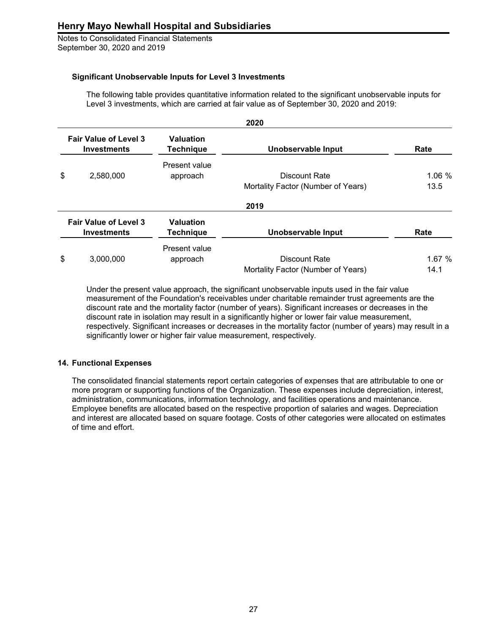Notes to Consolidated Financial Statements September 30, 2020 and 2019

## **Significant Unobservable Inputs for Level 3 Investments**

The following table provides quantitative information related to the significant unobservable inputs for Level 3 investments, which are carried at fair value as of September 30, 2020 and 2019:

|                                                    |                                                    |                               | 2020                                                |               |
|----------------------------------------------------|----------------------------------------------------|-------------------------------|-----------------------------------------------------|---------------|
| <b>Fair Value of Level 3</b><br><b>Investments</b> |                                                    | <b>Valuation</b><br>Technique | Unobservable Input                                  | Rate          |
| \$                                                 | 2,580,000                                          | Present value<br>approach     | Discount Rate<br>Mortality Factor (Number of Years) | 1.06%<br>13.5 |
|                                                    |                                                    |                               | 2019                                                |               |
|                                                    | <b>Fair Value of Level 3</b><br><b>Investments</b> | <b>Valuation</b><br>Technique | Unobservable Input                                  | Rate          |
| \$                                                 | 3,000,000                                          | Present value<br>approach     | Discount Rate<br>Mortality Factor (Number of Years) | 1.67%<br>14.1 |

Under the present value approach, the significant unobservable inputs used in the fair value measurement of the Foundation's receivables under charitable remainder trust agreements are the discount rate and the mortality factor (number of years). Significant increases or decreases in the discount rate in isolation may result in a significantly higher or lower fair value measurement, respectively. Significant increases or decreases in the mortality factor (number of years) may result in a significantly lower or higher fair value measurement, respectively.

### **14. Functional Expenses**

The consolidated financial statements report certain categories of expenses that are attributable to one or more program or supporting functions of the Organization. These expenses include depreciation, interest, administration, communications, information technology, and facilities operations and maintenance. Employee benefits are allocated based on the respective proportion of salaries and wages. Depreciation and interest are allocated based on square footage. Costs of other categories were allocated on estimates of time and effort.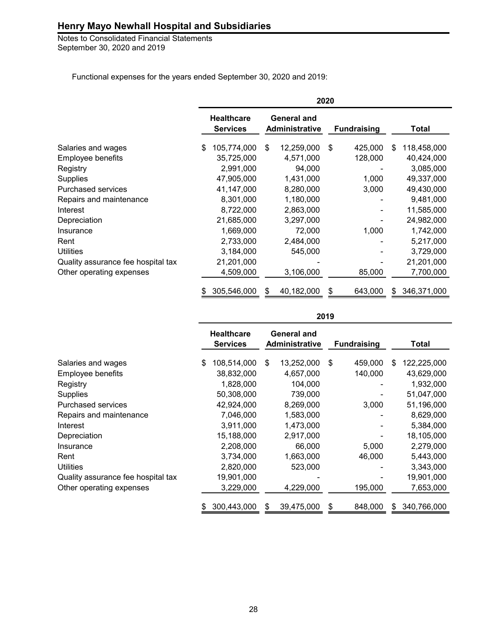Notes to Consolidated Financial Statements September 30, 2020 and 2019

Functional expenses for the years ended September 30, 2020 and 2019:

|                                    |                                      |    |                               | 2020 |                    |                   |
|------------------------------------|--------------------------------------|----|-------------------------------|------|--------------------|-------------------|
|                                    | <b>Healthcare</b><br><b>Services</b> |    | General and<br>Administrative |      | <b>Fundraising</b> | Total             |
| Salaries and wages                 | \$<br>105,774,000                    | \$ | 12,259,000                    | \$   | 425,000            | \$<br>118,458,000 |
| Employee benefits                  | 35,725,000                           |    | 4,571,000                     |      | 128,000            | 40,424,000        |
| Registry                           | 2,991,000                            |    | 94,000                        |      |                    | 3,085,000         |
| <b>Supplies</b>                    | 47,905,000                           |    | 1,431,000                     |      | 1,000              | 49,337,000        |
| <b>Purchased services</b>          | 41,147,000                           |    | 8,280,000                     |      | 3,000              | 49,430,000        |
| Repairs and maintenance            | 8,301,000                            |    | 1,180,000                     |      |                    | 9,481,000         |
| Interest                           | 8,722,000                            |    | 2,863,000                     |      |                    | 11,585,000        |
| Depreciation                       | 21,685,000                           |    | 3,297,000                     |      |                    | 24,982,000        |
| Insurance                          | 1,669,000                            |    | 72,000                        |      | 1,000              | 1,742,000         |
| Rent                               | 2,733,000                            |    | 2,484,000                     |      |                    | 5,217,000         |
| <b>Utilities</b>                   | 3,184,000                            |    | 545,000                       |      |                    | 3,729,000         |
| Quality assurance fee hospital tax | 21,201,000                           |    |                               |      |                    | 21,201,000        |
| Other operating expenses           | 4,509,000                            |    | 3,106,000                     |      | 85,000             | 7,700,000         |
|                                    | 305,546,000                          | \$ | 40,182,000                    | \$   | 643,000            | \$<br>346,371,000 |

**2019 Healthcare Services General and Administrative Fundraising Total** Salaries and wages  $$ 108,514,000 $ 13,252,000 $ 459,000 $ 122,225,000$ Employee benefits 138,832,000 4,657,000 140,000 43,629,000 Registry 1,828,000 104,000 1,932,000 Supplies 50,308,000 739,000 - 51,047,000 Purchased services  $42,924,000$   $8,269,000$   $3,000$   $51,196,000$ Repairs and maintenance  $7,046,000$   $1,583,000$   $-$  8,629,000 Interest 3,911,000 1,473,000 - 5,384,000 Depreciation 15,188,000 2,917,000 - 18,105,000 Insurance 2,208,000 66,000 5,000 2,279,000 Rent 3,734,000 1,663,000 46,000 5,443,000 Utilities 2,820,000 523,000 - 3,343,000 Quality assurance fee hospital tax  $19,901,000$  -  $-$  19,901,000 Other operating expenses 3,229,000 4,229,000 195,000 7,653,000 \$ 300,443,000 \$ 39,475,000 \$ 848,000 \$ 340,766,000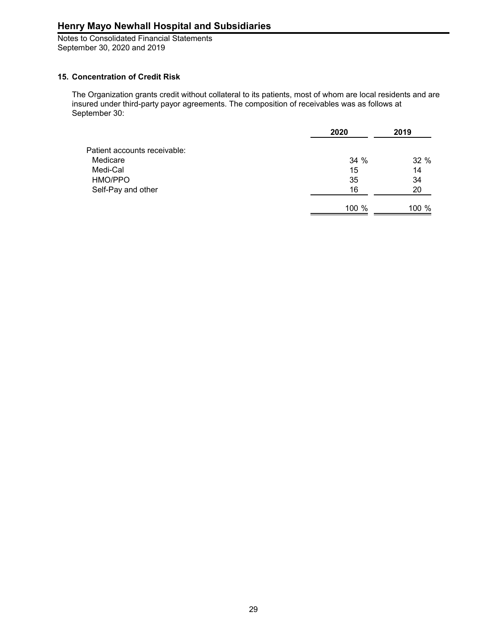Notes to Consolidated Financial Statements September 30, 2020 and 2019

## **15. Concentration of Credit Risk**

The Organization grants credit without collateral to its patients, most of whom are local residents and are insured under third-party payor agreements. The composition of receivables was as follows at September 30:

|                              | 2020  | 2019  |
|------------------------------|-------|-------|
| Patient accounts receivable: |       |       |
| Medicare                     | 34 %  | 32 %  |
| Medi-Cal                     | 15    | 14    |
| HMO/PPO                      | 35    | 34    |
| Self-Pay and other           | 16    | 20    |
|                              | 100 % | 100 % |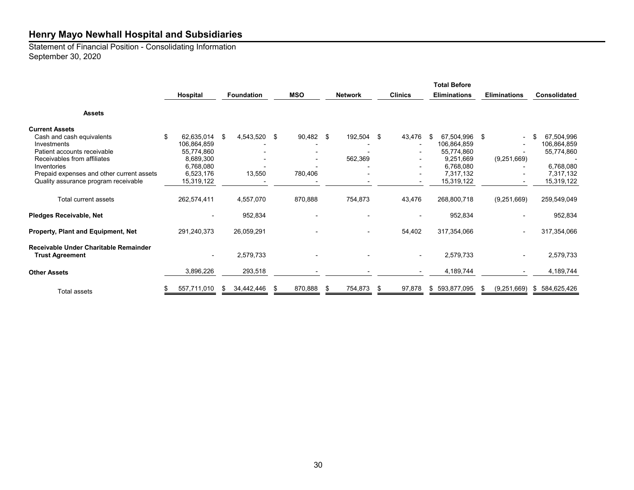Statement of Financial Position - Consolidating Information September 30, 2020

|                                                                                                                                 |                                                            |                   |    |            |                          |     |                | <b>Total Before</b>                              |                        |                     |                                         |
|---------------------------------------------------------------------------------------------------------------------------------|------------------------------------------------------------|-------------------|----|------------|--------------------------|-----|----------------|--------------------------------------------------|------------------------|---------------------|-----------------------------------------|
|                                                                                                                                 | Hospital                                                   | <b>Foundation</b> |    | <b>MSO</b> | <b>Network</b>           |     | <b>Clinics</b> | <b>Eliminations</b>                              |                        | <b>Eliminations</b> | <b>Consolidated</b>                     |
| <b>Assets</b>                                                                                                                   |                                                            |                   |    |            |                          |     |                |                                                  |                        |                     |                                         |
| <b>Current Assets</b><br>Cash and cash equivalents<br>Investments<br>Patient accounts receivable<br>Receivables from affiliates | \$<br>62,635,014<br>106,864,859<br>55,774,860<br>8,689,300 | 4,543,520<br>\$   | \$ | 90,482     | \$<br>192,504<br>562,369 | \$  | 43,476         | 67,504,996 \$<br>\$<br>106,864,859<br>55,774,860 | 9,251,669              | -<br>(9,251,669)    | 67,504,996<br>106,864,859<br>55,774,860 |
| Inventories<br>Prepaid expenses and other current assets<br>Quality assurance program receivable                                | 6,768,080<br>6,523,176<br>15,319,122                       | 13,550            |    | 780,406    |                          |     |                | 15,319,122                                       | 6,768,080<br>7.317.132 |                     | 6,768,080<br>7,317,132<br>15,319,122    |
| Total current assets                                                                                                            | 262,574,411                                                | 4,557,070         |    | 870,888    | 754,873                  |     | 43,476         | 268,800,718                                      |                        | (9,251,669)         | 259,549,049                             |
| Pledges Receivable, Net                                                                                                         |                                                            | 952,834           |    |            |                          |     |                |                                                  | 952,834                |                     | 952,834                                 |
| Property, Plant and Equipment, Net                                                                                              | 291,240,373                                                | 26,059,291        |    |            |                          |     | 54,402         | 317,354,066                                      |                        | -                   | 317,354,066                             |
| Receivable Under Charitable Remainder<br><b>Trust Agreement</b>                                                                 |                                                            | 2,579,733         |    |            |                          |     |                |                                                  | 2,579,733              |                     | 2,579,733                               |
| <b>Other Assets</b>                                                                                                             | 3,896,226                                                  | 293,518           |    |            |                          |     |                |                                                  | 4,189,744              |                     | 4,189,744                               |
| <b>Total assets</b>                                                                                                             | 557,711,010                                                | 34,442,446        | £. | 870,888    | \$<br>754,873            | -\$ | 97,878         | 593,877,095<br>\$                                |                        | (9,251,669)<br>- 95 | \$584,625,426                           |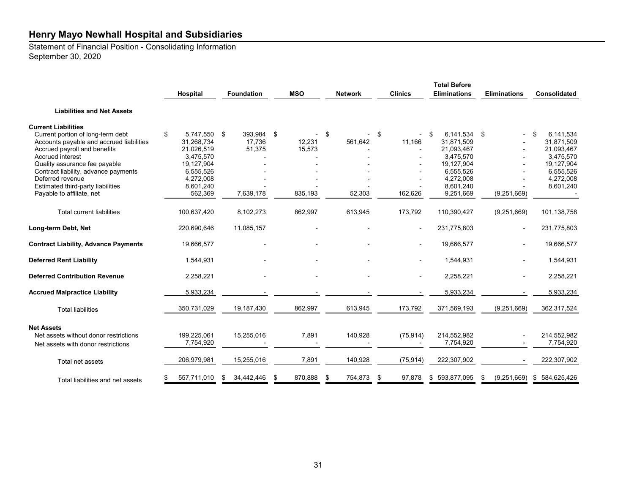Statement of Financial Position - Consolidating Information September 30, 2020

|                                                                                                                                                                                                                                                                                                   | Hospital                                                                                                         | <b>Foundation</b>              | <b>MSO</b>       | <b>Network</b> | <b>Clinics</b> | <b>Total Before</b><br><b>Eliminations</b>                                                                        | <b>Eliminations</b> | <b>Consolidated</b>                                                                                           |
|---------------------------------------------------------------------------------------------------------------------------------------------------------------------------------------------------------------------------------------------------------------------------------------------------|------------------------------------------------------------------------------------------------------------------|--------------------------------|------------------|----------------|----------------|-------------------------------------------------------------------------------------------------------------------|---------------------|---------------------------------------------------------------------------------------------------------------|
| <b>Liabilities and Net Assets</b>                                                                                                                                                                                                                                                                 |                                                                                                                  |                                |                  |                |                |                                                                                                                   |                     |                                                                                                               |
| <b>Current Liabilities</b><br>Current portion of long-term debt<br>Accounts payable and accrued liabilities<br>Accrued payroll and benefits<br>Accrued interest<br>Quality assurance fee payable<br>Contract liability, advance payments<br>Deferred revenue<br>Estimated third-party liabilities | \$<br>5.747.550 \$<br>31.268.734<br>21,026,519<br>3,475,570<br>19,127,904<br>6,555,526<br>4,272,008<br>8,601,240 | 393,984 \$<br>17.736<br>51,375 | 12,231<br>15,573 | \$<br>561,642  | \$<br>11,166   | 6.141.534 \$<br>-\$<br>31.871.509<br>21,093,467<br>3,475,570<br>19,127,904<br>6,555,526<br>4,272,008<br>8,601,240 |                     | 6.141.534<br>\$<br>31,871,509<br>21,093,467<br>3,475,570<br>19,127,904<br>6,555,526<br>4,272,008<br>8,601,240 |
| Payable to affiliate, net                                                                                                                                                                                                                                                                         | 562,369                                                                                                          | 7,639,178                      | 835,193          | 52,303         | 162,626        | 9,251,669                                                                                                         | (9,251,669)         |                                                                                                               |
| <b>Total current liabilities</b>                                                                                                                                                                                                                                                                  | 100,637,420                                                                                                      | 8,102,273                      | 862,997          | 613,945        | 173,792        | 110,390,427                                                                                                       | (9,251,669)         | 101,138,758                                                                                                   |
| Long-term Debt, Net                                                                                                                                                                                                                                                                               | 220,690,646                                                                                                      | 11,085,157                     |                  |                | $\blacksquare$ | 231,775,803                                                                                                       | ٠                   | 231,775,803                                                                                                   |
| <b>Contract Liability, Advance Payments</b>                                                                                                                                                                                                                                                       | 19,666,577                                                                                                       |                                |                  |                |                | 19,666,577                                                                                                        |                     | 19,666,577                                                                                                    |
| <b>Deferred Rent Liability</b>                                                                                                                                                                                                                                                                    | 1,544,931                                                                                                        |                                |                  |                |                | 1,544,931                                                                                                         |                     | 1,544,931                                                                                                     |
| <b>Deferred Contribution Revenue</b>                                                                                                                                                                                                                                                              | 2,258,221                                                                                                        |                                |                  |                |                | 2,258,221                                                                                                         |                     | 2,258,221                                                                                                     |
| <b>Accrued Malpractice Liability</b>                                                                                                                                                                                                                                                              | 5,933,234                                                                                                        |                                |                  |                |                | 5,933,234                                                                                                         |                     | 5,933,234                                                                                                     |
| <b>Total liabilities</b>                                                                                                                                                                                                                                                                          | 350,731,029                                                                                                      | 19,187,430                     | 862,997          | 613,945        | 173,792        | 371,569,193                                                                                                       | (9,251,669)         | 362,317,524                                                                                                   |
| <b>Net Assets</b><br>Net assets without donor restrictions<br>Net assets with donor restrictions                                                                                                                                                                                                  | 199,225,061<br>7,754,920                                                                                         | 15,255,016                     | 7,891            | 140,928        | (75, 914)      | 214,552,982<br>7,754,920                                                                                          |                     | 214,552,982<br>7,754,920                                                                                      |
| Total net assets                                                                                                                                                                                                                                                                                  | 206,979,981                                                                                                      | 15,255,016                     | 7,891            | 140,928        | (75, 914)      | 222,307,902                                                                                                       |                     | 222,307,902                                                                                                   |
| Total liabilities and net assets                                                                                                                                                                                                                                                                  | 557,711,010                                                                                                      | 34,442,446<br>S                | 870,888<br>\$    | 754,873<br>\$  | \$<br>97,878   | \$593,877,095                                                                                                     | (9,251,669)         | \$584,625,426                                                                                                 |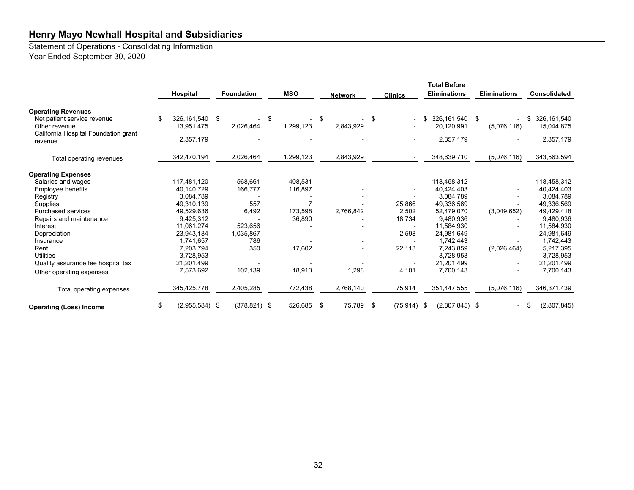Statement of Operations - Consolidating Information Year Ended September 30, 2020

|                                                                                      | Hospital                  | <b>Foundation</b> | <b>MSO</b>      |     | <b>Network</b> | <b>Clinics</b>  | <b>Total Before</b><br><b>Eliminations</b> |                           | <b>Eliminations</b> |             | <b>Consolidated</b> |                           |
|--------------------------------------------------------------------------------------|---------------------------|-------------------|-----------------|-----|----------------|-----------------|--------------------------------------------|---------------------------|---------------------|-------------|---------------------|---------------------------|
| <b>Operating Revenues</b>                                                            |                           |                   |                 |     |                |                 |                                            |                           |                     |             |                     |                           |
| Net patient service revenue<br>Other revenue<br>California Hospital Foundation grant | 326,161,540<br>13,951,475 | \$<br>2,026,464   | \$<br>1,299,123 | \$  | 2,843,929      | \$              |                                            | 326.161.540<br>20,120,991 | \$                  | (5,076,116) | \$                  | 326,161,540<br>15,044,875 |
| revenue                                                                              | 2,357,179                 |                   |                 |     |                |                 |                                            | 2,357,179                 |                     |             |                     | 2,357,179                 |
| Total operating revenues                                                             | 342,470,194               | 2,026,464         | 1,299,123       |     | 2,843,929      |                 |                                            | 348,639,710               |                     | (5,076,116) |                     | 343,563,594               |
| <b>Operating Expenses</b>                                                            |                           |                   |                 |     |                |                 |                                            |                           |                     |             |                     |                           |
| Salaries and wages                                                                   | 117.481.120               | 568,661           | 408.531         |     |                |                 |                                            | 118.458.312               |                     |             |                     | 118,458,312               |
| Employee benefits                                                                    | 40,140,729                | 166,777           | 116,897         |     |                |                 |                                            | 40,424,403                |                     |             |                     | 40,424,403                |
| Registry                                                                             | 3.084.789                 |                   |                 |     |                |                 |                                            | 3,084,789                 |                     |             |                     | 3,084,789                 |
| Supplies                                                                             | 49,310,139                | 557               | 7               |     |                | 25,866          |                                            | 49,336,569                |                     |             |                     | 49,336,569                |
| <b>Purchased services</b>                                                            | 49,529,636                | 6,492             | 173,598         |     | 2,766,842      | 2,502           |                                            | 52,479,070                |                     | (3,049,652) |                     | 49,429,418                |
| Repairs and maintenance                                                              | 9,425,312                 |                   | 36,890          |     |                | 18,734          |                                            | 9,480,936                 |                     |             |                     | 9,480,936                 |
| Interest                                                                             | 11.061.274                | 523.656           |                 |     |                |                 |                                            | 11.584.930                |                     |             |                     | 11,584,930                |
| Depreciation                                                                         | 23,943,184                | 1,035,867         |                 |     |                | 2,598           |                                            | 24,981,649                |                     |             |                     | 24,981,649                |
| Insurance                                                                            | 1.741.657                 | 786               |                 |     |                |                 |                                            | 1,742,443                 |                     |             |                     | 1,742,443                 |
| Rent                                                                                 | 7,203,794                 | 350               | 17,602          |     |                | 22,113          |                                            | 7,243,859                 |                     | (2,026,464) |                     | 5,217,395                 |
| <b>Utilities</b>                                                                     | 3,728,953                 |                   |                 |     |                |                 |                                            | 3,728,953                 |                     |             |                     | 3,728,953                 |
| Quality assurance fee hospital tax                                                   | 21,201,499                |                   |                 |     |                |                 |                                            | 21,201,499                |                     |             |                     | 21,201,499                |
| Other operating expenses                                                             | 7,573,692                 | 102,139           | 18,913          |     | 1,298          | 4,101           |                                            | 7,700,143                 |                     |             |                     | 7,700,143                 |
| Total operating expenses                                                             | 345,425,778               | 2,405,285         | 772,438         |     | 2,768,140      | 75,914          |                                            | 351,447,555               |                     | (5,076,116) |                     | 346,371,439               |
| <b>Operating (Loss) Income</b>                                                       | (2,955,584)               | \$<br>(378, 821)  | \$<br>526,685   | \$. | 75,789         | \$<br>(75, 914) | \$                                         | (2,807,845)               | \$                  |             | \$                  | (2,807,845)               |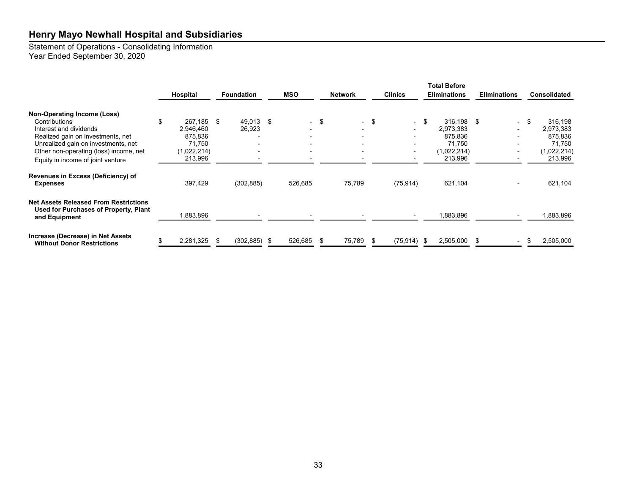Statement of Operations - Consolidating Information Year Ended September 30, 2020

|                                                                                                                                                                                              | Hospital                                                       | <b>Foundation</b>      | <b>MSO</b>                     | <b>Network</b>                   | <b>Clinics</b>                                                         | <b>Total Before</b><br><b>Eliminations</b>                        | <b>Eliminations</b>                                       | <b>Consolidated</b>                                            |
|----------------------------------------------------------------------------------------------------------------------------------------------------------------------------------------------|----------------------------------------------------------------|------------------------|--------------------------------|----------------------------------|------------------------------------------------------------------------|-------------------------------------------------------------------|-----------------------------------------------------------|----------------------------------------------------------------|
| Non-Operating Income (Loss)<br>Contributions<br>Interest and dividends<br>Realized gain on investments, net<br>Unrealized gain on investments, net<br>Other non-operating (loss) income, net | \$<br>267,185<br>2,946,460<br>875,836<br>71,750<br>(1,022,214) | \$<br>49,013<br>26,923 | \$<br>$\overline{\phantom{0}}$ | - \$<br>$\overline{\phantom{a}}$ | - \$<br>$\sim$<br>$\overline{\phantom{a}}$<br>$\overline{\phantom{0}}$ | \$<br>316,198 \$<br>2,973,383<br>875,836<br>71.750<br>(1,022,214) | $\overline{\phantom{0}}$<br>٠<br>$\overline{\phantom{0}}$ | \$<br>316,198<br>2,973,383<br>875,836<br>71.750<br>(1,022,214) |
| Equity in income of joint venture<br>Revenues in Excess (Deficiency) of<br><b>Expenses</b>                                                                                                   | 213,996<br>397,429                                             | (302, 885)             | 526,685                        | 75,789                           | (75, 914)                                                              | 213,996<br>621,104                                                |                                                           | 213,996<br>621,104                                             |
| <b>Net Assets Released From Restrictions</b><br><b>Used for Purchases of Property, Plant</b><br>and Equipment                                                                                | 1,883,896                                                      |                        |                                |                                  |                                                                        | 1,883,896                                                         |                                                           | 1,883,896                                                      |
| Increase (Decrease) in Net Assets<br><b>Without Donor Restrictions</b>                                                                                                                       | 2,281,325                                                      | (302, 885)<br>S.       | 526,685<br>-S                  | 75,789                           | (75,914)                                                               | 2,505,000<br>-S                                                   | -S                                                        | 2,505,000<br>£.                                                |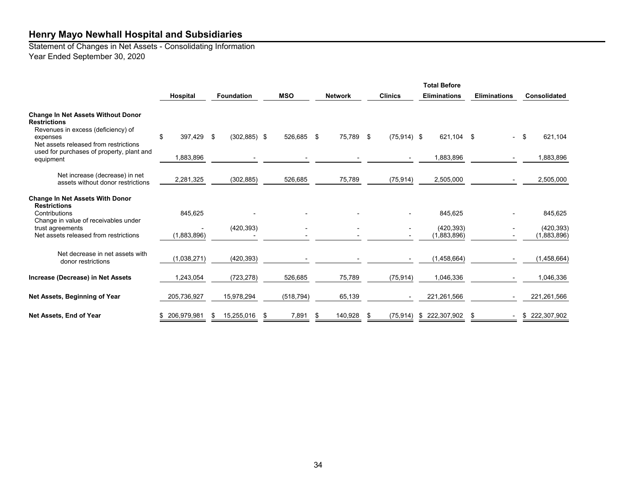Statement of Changes in Net Assets - Consolidating Information Year Ended September 30, 2020

|                                                                                                                                                             |                   |      |                   |      |            |  |                |      |                | <b>Total Before</b>       |                     |                           |  |
|-------------------------------------------------------------------------------------------------------------------------------------------------------------|-------------------|------|-------------------|------|------------|--|----------------|------|----------------|---------------------------|---------------------|---------------------------|--|
|                                                                                                                                                             | Hospital          |      | <b>Foundation</b> |      | <b>MSO</b> |  | <b>Network</b> |      | <b>Clinics</b> | <b>Eliminations</b>       | <b>Eliminations</b> | Consolidated              |  |
| <b>Change In Net Assets Without Donor</b><br><b>Restrictions</b><br>Revenues in excess (deficiency) of<br>expenses<br>Net assets released from restrictions | \$<br>397,429     | - \$ | $(302, 885)$ \$   |      | 526,685 \$ |  | 75,789         | - \$ | $(75,914)$ \$  | 621,104 \$                | $\sim$              | \$<br>621,104             |  |
| used for purchases of property, plant and<br>equipment                                                                                                      | 1,883,896         |      |                   |      |            |  |                |      |                | 1,883,896                 |                     | 1,883,896                 |  |
| Net increase (decrease) in net<br>assets without donor restrictions                                                                                         | 2,281,325         |      | (302, 885)        |      | 526,685    |  | 75,789         |      | (75, 914)      | 2,505,000                 |                     | 2,505,000                 |  |
| <b>Change In Net Assets With Donor</b><br><b>Restrictions</b><br>Contributions                                                                              | 845,625           |      |                   |      |            |  |                |      |                | 845,625                   |                     | 845,625                   |  |
| Change in value of receivables under<br>trust agreements<br>Net assets released from restrictions                                                           | (1,883,896)       |      | (420, 393)        |      |            |  |                |      |                | (420, 393)<br>(1,883,896) |                     | (420, 393)<br>(1,883,896) |  |
| Net decrease in net assets with<br>donor restrictions                                                                                                       | (1,038,271)       |      | (420, 393)        |      |            |  |                |      |                | (1,458,664)               |                     | (1,458,664)               |  |
| Increase (Decrease) in Net Assets                                                                                                                           | 1,243,054         |      | (723, 278)        |      | 526,685    |  | 75,789         |      | (75, 914)      | 1,046,336                 |                     | 1,046,336                 |  |
| Net Assets, Beginning of Year                                                                                                                               | 205,736,927       |      | 15,978,294        |      | (518, 794) |  | 65,139         |      |                | 221,261,566               |                     | 221,261,566               |  |
| Net Assets, End of Year                                                                                                                                     | 206,979,981<br>\$ | - \$ | 15,255,016        | - \$ | 7,891 \$   |  | 140,928        | -\$  | (75, 914)      | 222,307,902<br>\$         | \$                  | 222,307,902<br>\$         |  |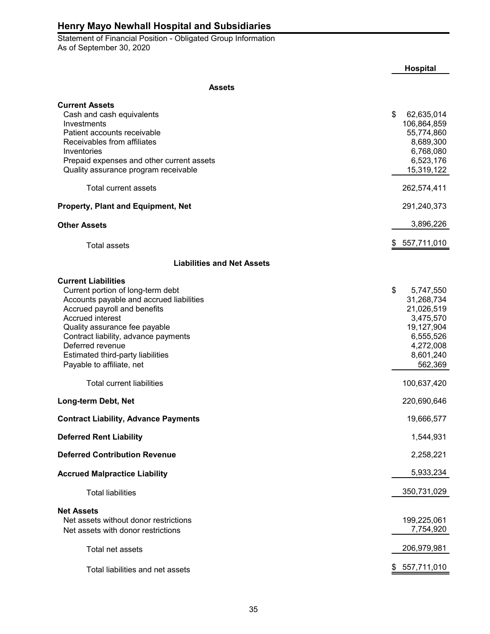Statement of Financial Position - Obligated Group Information As of September 30, 2020

|                                                                                                                                                                                                                                                                                                                                | Hospital                                                                                                                 |
|--------------------------------------------------------------------------------------------------------------------------------------------------------------------------------------------------------------------------------------------------------------------------------------------------------------------------------|--------------------------------------------------------------------------------------------------------------------------|
| <b>Assets</b>                                                                                                                                                                                                                                                                                                                  |                                                                                                                          |
| <b>Current Assets</b><br>Cash and cash equivalents<br>Investments<br>Patient accounts receivable<br>Receivables from affiliates<br>Inventories<br>Prepaid expenses and other current assets<br>Quality assurance program receivable                                                                                            | \$<br>62,635,014<br>106,864,859<br>55,774,860<br>8,689,300<br>6,768,080<br>6,523,176<br>15,319,122                       |
| <b>Total current assets</b>                                                                                                                                                                                                                                                                                                    | 262,574,411                                                                                                              |
| <b>Property, Plant and Equipment, Net</b>                                                                                                                                                                                                                                                                                      | 291,240,373                                                                                                              |
| <b>Other Assets</b>                                                                                                                                                                                                                                                                                                            | 3,896,226                                                                                                                |
| <b>Total assets</b>                                                                                                                                                                                                                                                                                                            | \$557,711,010                                                                                                            |
| <b>Liabilities and Net Assets</b>                                                                                                                                                                                                                                                                                              |                                                                                                                          |
| <b>Current Liabilities</b><br>Current portion of long-term debt<br>Accounts payable and accrued liabilities<br>Accrued payroll and benefits<br>Accrued interest<br>Quality assurance fee payable<br>Contract liability, advance payments<br>Deferred revenue<br>Estimated third-party liabilities<br>Payable to affiliate, net | \$<br>5,747,550<br>31,268,734<br>21,026,519<br>3,475,570<br>19,127,904<br>6,555,526<br>4,272,008<br>8,601,240<br>562,369 |
| <b>Total current liabilities</b>                                                                                                                                                                                                                                                                                               | 100,637,420                                                                                                              |
| Long-term Debt, Net                                                                                                                                                                                                                                                                                                            | 220,690,646                                                                                                              |
| <b>Contract Liability, Advance Payments</b>                                                                                                                                                                                                                                                                                    | 19,666,577                                                                                                               |
| <b>Deferred Rent Liability</b>                                                                                                                                                                                                                                                                                                 | 1,544,931                                                                                                                |
| <b>Deferred Contribution Revenue</b>                                                                                                                                                                                                                                                                                           | 2,258,221                                                                                                                |
| <b>Accrued Malpractice Liability</b>                                                                                                                                                                                                                                                                                           | 5,933,234                                                                                                                |
| <b>Total liabilities</b>                                                                                                                                                                                                                                                                                                       | 350,731,029                                                                                                              |
| <b>Net Assets</b><br>Net assets without donor restrictions<br>Net assets with donor restrictions                                                                                                                                                                                                                               | 199,225,061<br>7,754,920                                                                                                 |
| Total net assets                                                                                                                                                                                                                                                                                                               | 206,979,981                                                                                                              |
| Total liabilities and net assets                                                                                                                                                                                                                                                                                               | \$557,711,010                                                                                                            |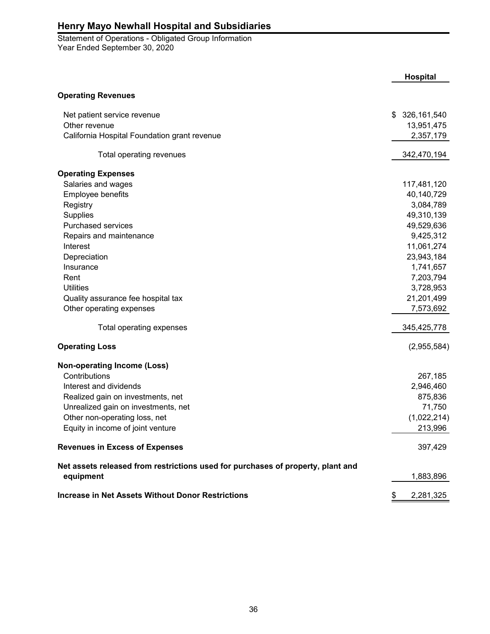Statement of Operations - Obligated Group Information Year Ended September 30, 2020

|                                                                                              | Hospital          |
|----------------------------------------------------------------------------------------------|-------------------|
| <b>Operating Revenues</b>                                                                    |                   |
| Net patient service revenue                                                                  | \$<br>326,161,540 |
| Other revenue                                                                                | 13,951,475        |
| California Hospital Foundation grant revenue                                                 | 2,357,179         |
| Total operating revenues                                                                     | 342,470,194       |
| <b>Operating Expenses</b>                                                                    |                   |
| Salaries and wages                                                                           | 117,481,120       |
| Employee benefits                                                                            | 40,140,729        |
| Registry                                                                                     | 3,084,789         |
| <b>Supplies</b>                                                                              | 49,310,139        |
| <b>Purchased services</b>                                                                    | 49,529,636        |
| Repairs and maintenance                                                                      | 9,425,312         |
| Interest                                                                                     | 11,061,274        |
| Depreciation                                                                                 | 23,943,184        |
| Insurance                                                                                    | 1,741,657         |
| Rent                                                                                         | 7,203,794         |
| <b>Utilities</b>                                                                             | 3,728,953         |
| Quality assurance fee hospital tax                                                           | 21,201,499        |
| Other operating expenses                                                                     | 7,573,692         |
| Total operating expenses                                                                     | 345,425,778       |
| <b>Operating Loss</b>                                                                        | (2,955,584)       |
| <b>Non-operating Income (Loss)</b>                                                           |                   |
| Contributions                                                                                | 267,185           |
| Interest and dividends                                                                       | 2,946,460         |
| Realized gain on investments, net                                                            | 875,836           |
| Unrealized gain on investments, net                                                          | 71,750            |
| Other non-operating loss, net                                                                | (1,022,214)       |
| Equity in income of joint venture                                                            | 213,996           |
| <b>Revenues in Excess of Expenses</b>                                                        | 397,429           |
| Net assets released from restrictions used for purchases of property, plant and<br>equipment | 1,883,896         |
| <b>Increase in Net Assets Without Donor Restrictions</b>                                     | \$<br>2,281,325   |